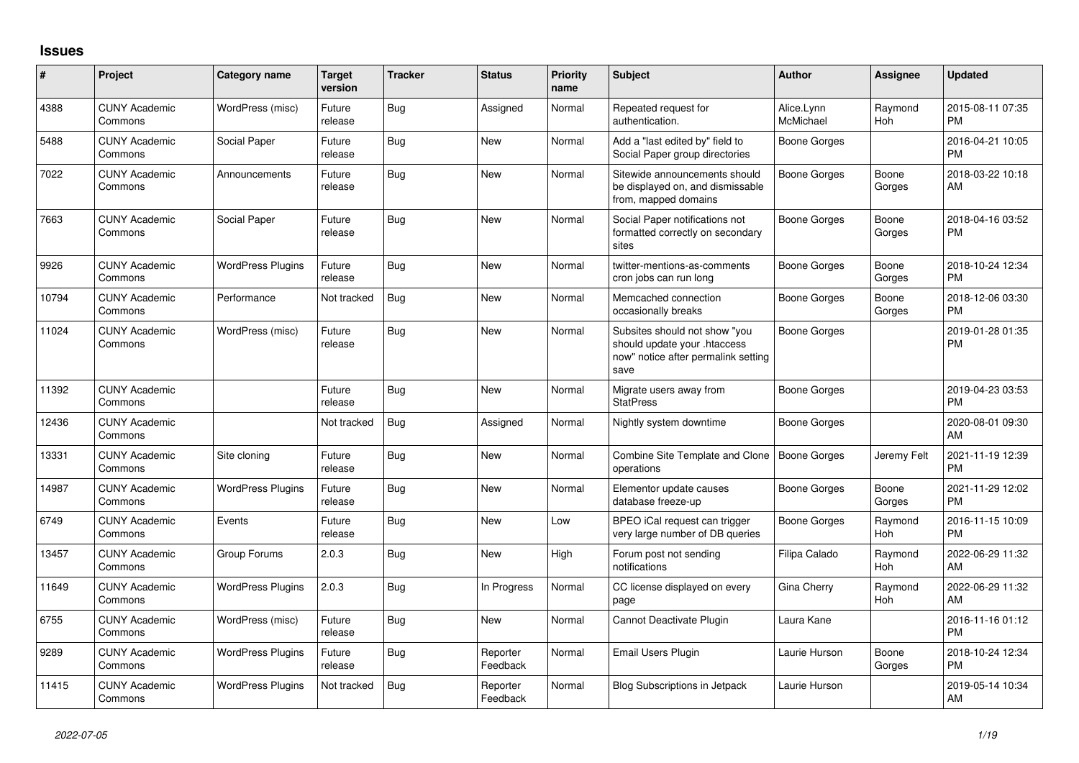## **Issues**

| #     | Project                         | <b>Category name</b>     | <b>Target</b><br>version | <b>Tracker</b> | <b>Status</b>        | Priority<br>name | <b>Subject</b>                                                                                               | <b>Author</b>           | <b>Assignee</b> | <b>Updated</b>                |
|-------|---------------------------------|--------------------------|--------------------------|----------------|----------------------|------------------|--------------------------------------------------------------------------------------------------------------|-------------------------|-----------------|-------------------------------|
| 4388  | <b>CUNY Academic</b><br>Commons | WordPress (misc)         | Future<br>release        | <b>Bug</b>     | Assigned             | Normal           | Repeated request for<br>authentication.                                                                      | Alice.Lynn<br>McMichael | Raymond<br>Hoh  | 2015-08-11 07:35<br><b>PM</b> |
| 5488  | <b>CUNY Academic</b><br>Commons | Social Paper             | Future<br>release        | <b>Bug</b>     | <b>New</b>           | Normal           | Add a "last edited by" field to<br>Social Paper group directories                                            | <b>Boone Gorges</b>     |                 | 2016-04-21 10:05<br><b>PM</b> |
| 7022  | <b>CUNY Academic</b><br>Commons | Announcements            | Future<br>release        | Bug            | New                  | Normal           | Sitewide announcements should<br>be displayed on, and dismissable<br>from, mapped domains                    | Boone Gorges            | Boone<br>Gorges | 2018-03-22 10:18<br>AM        |
| 7663  | <b>CUNY Academic</b><br>Commons | Social Paper             | Future<br>release        | Bug            | <b>New</b>           | Normal           | Social Paper notifications not<br>formatted correctly on secondary<br>sites                                  | Boone Gorges            | Boone<br>Gorges | 2018-04-16 03:52<br><b>PM</b> |
| 9926  | <b>CUNY Academic</b><br>Commons | <b>WordPress Plugins</b> | Future<br>release        | <b>Bug</b>     | <b>New</b>           | Normal           | twitter-mentions-as-comments<br>cron jobs can run long                                                       | Boone Gorges            | Boone<br>Gorges | 2018-10-24 12:34<br><b>PM</b> |
| 10794 | <b>CUNY Academic</b><br>Commons | Performance              | Not tracked              | <b>Bug</b>     | New                  | Normal           | Memcached connection<br>occasionally breaks                                                                  | Boone Gorges            | Boone<br>Gorges | 2018-12-06 03:30<br><b>PM</b> |
| 11024 | <b>CUNY Academic</b><br>Commons | WordPress (misc)         | Future<br>release        | <b>Bug</b>     | <b>New</b>           | Normal           | Subsites should not show "you<br>should update your .htaccess<br>now" notice after permalink setting<br>save | Boone Gorges            |                 | 2019-01-28 01:35<br><b>PM</b> |
| 11392 | <b>CUNY Academic</b><br>Commons |                          | Future<br>release        | <b>Bug</b>     | New                  | Normal           | Migrate users away from<br><b>StatPress</b>                                                                  | Boone Gorges            |                 | 2019-04-23 03:53<br><b>PM</b> |
| 12436 | <b>CUNY Academic</b><br>Commons |                          | Not tracked              | Bug            | Assigned             | Normal           | Nightly system downtime                                                                                      | Boone Gorges            |                 | 2020-08-01 09:30<br>AM        |
| 13331 | <b>CUNY Academic</b><br>Commons | Site cloning             | Future<br>release        | <b>Bug</b>     | <b>New</b>           | Normal           | Combine Site Template and Clone<br>operations                                                                | Boone Gorges            | Jeremy Felt     | 2021-11-19 12:39<br><b>PM</b> |
| 14987 | <b>CUNY Academic</b><br>Commons | <b>WordPress Plugins</b> | Future<br>release        | <b>Bug</b>     | <b>New</b>           | Normal           | Elementor update causes<br>database freeze-up                                                                | Boone Gorges            | Boone<br>Gorges | 2021-11-29 12:02<br><b>PM</b> |
| 6749  | <b>CUNY Academic</b><br>Commons | Events                   | Future<br>release        | <b>Bug</b>     | <b>New</b>           | Low              | BPEO iCal request can trigger<br>very large number of DB queries                                             | <b>Boone Gorges</b>     | Raymond<br>Hoh  | 2016-11-15 10:09<br><b>PM</b> |
| 13457 | <b>CUNY Academic</b><br>Commons | Group Forums             | 2.0.3                    | <b>Bug</b>     | <b>New</b>           | High             | Forum post not sending<br>notifications                                                                      | Filipa Calado           | Raymond<br>Hoh  | 2022-06-29 11:32<br>AM        |
| 11649 | <b>CUNY Academic</b><br>Commons | <b>WordPress Plugins</b> | 2.0.3                    | <b>Bug</b>     | In Progress          | Normal           | CC license displayed on every<br>page                                                                        | Gina Cherry             | Raymond<br>Hoh  | 2022-06-29 11:32<br>AM        |
| 6755  | <b>CUNY Academic</b><br>Commons | WordPress (misc)         | Future<br>release        | Bug            | New                  | Normal           | Cannot Deactivate Plugin                                                                                     | Laura Kane              |                 | 2016-11-16 01:12<br><b>PM</b> |
| 9289  | <b>CUNY Academic</b><br>Commons | <b>WordPress Plugins</b> | Future<br>release        | Bug            | Reporter<br>Feedback | Normal           | <b>Email Users Plugin</b>                                                                                    | Laurie Hurson           | Boone<br>Gorges | 2018-10-24 12:34<br><b>PM</b> |
| 11415 | <b>CUNY Academic</b><br>Commons | <b>WordPress Plugins</b> | Not tracked              | <b>Bug</b>     | Reporter<br>Feedback | Normal           | <b>Blog Subscriptions in Jetpack</b>                                                                         | Laurie Hurson           |                 | 2019-05-14 10:34<br>AM        |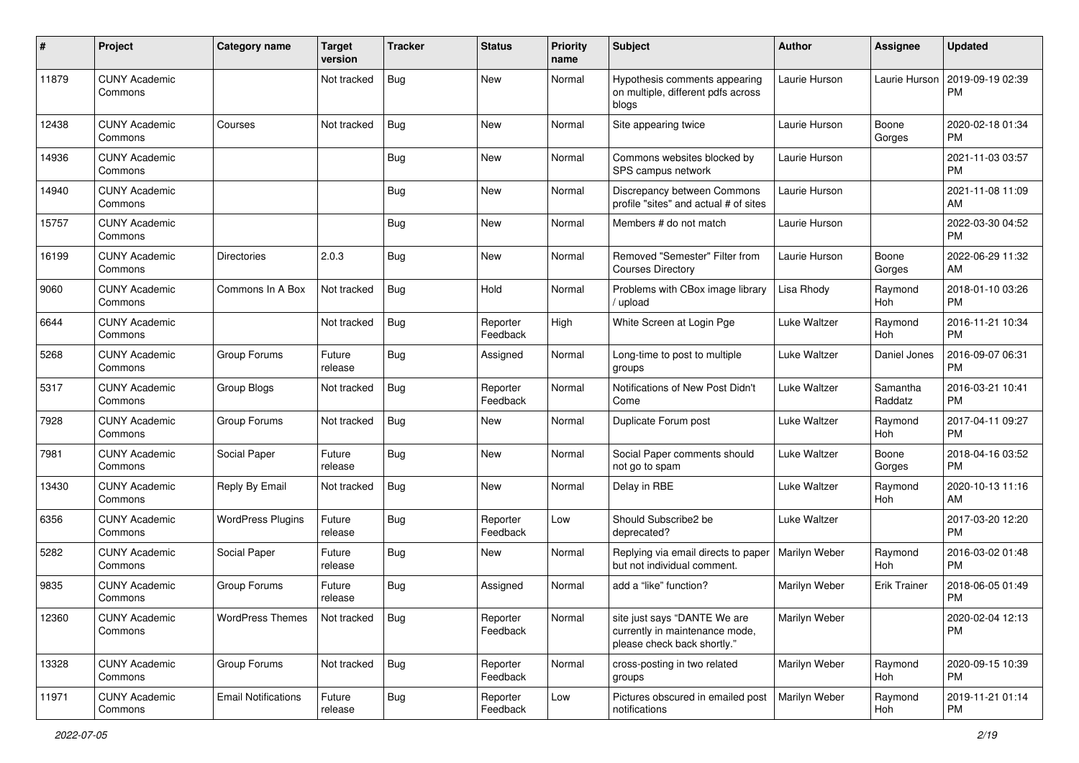| #     | Project                         | <b>Category name</b>       | <b>Target</b><br>version | <b>Tracker</b> | <b>Status</b>        | Priority<br>name | <b>Subject</b>                                                                                | Author        | <b>Assignee</b>     | <b>Updated</b>                |
|-------|---------------------------------|----------------------------|--------------------------|----------------|----------------------|------------------|-----------------------------------------------------------------------------------------------|---------------|---------------------|-------------------------------|
| 11879 | <b>CUNY Academic</b><br>Commons |                            | Not tracked              | <b>Bug</b>     | <b>New</b>           | Normal           | Hypothesis comments appearing<br>on multiple, different pdfs across<br>blogs                  | Laurie Hurson | Laurie Hurson       | 2019-09-19 02:39<br><b>PM</b> |
| 12438 | <b>CUNY Academic</b><br>Commons | Courses                    | Not tracked              | Bug            | <b>New</b>           | Normal           | Site appearing twice                                                                          | Laurie Hurson | Boone<br>Gorges     | 2020-02-18 01:34<br><b>PM</b> |
| 14936 | <b>CUNY Academic</b><br>Commons |                            |                          | <b>Bug</b>     | New                  | Normal           | Commons websites blocked by<br>SPS campus network                                             | Laurie Hurson |                     | 2021-11-03 03:57<br><b>PM</b> |
| 14940 | <b>CUNY Academic</b><br>Commons |                            |                          | <b>Bug</b>     | <b>New</b>           | Normal           | Discrepancy between Commons<br>profile "sites" and actual # of sites                          | Laurie Hurson |                     | 2021-11-08 11:09<br>AM        |
| 15757 | <b>CUNY Academic</b><br>Commons |                            |                          | <b>Bug</b>     | <b>New</b>           | Normal           | Members # do not match                                                                        | Laurie Hurson |                     | 2022-03-30 04:52<br><b>PM</b> |
| 16199 | <b>CUNY Academic</b><br>Commons | Directories                | 2.0.3                    | <b>Bug</b>     | <b>New</b>           | Normal           | Removed "Semester" Filter from<br><b>Courses Directory</b>                                    | Laurie Hurson | Boone<br>Gorges     | 2022-06-29 11:32<br>AM        |
| 9060  | <b>CUNY Academic</b><br>Commons | Commons In A Box           | Not tracked              | <b>Bug</b>     | Hold                 | Normal           | Problems with CBox image library<br>/ upload                                                  | Lisa Rhody    | Raymond<br>Hoh      | 2018-01-10 03:26<br><b>PM</b> |
| 6644  | <b>CUNY Academic</b><br>Commons |                            | Not tracked              | <b>Bug</b>     | Reporter<br>Feedback | High             | White Screen at Login Pge                                                                     | Luke Waltzer  | Raymond<br>Hoh      | 2016-11-21 10:34<br><b>PM</b> |
| 5268  | <b>CUNY Academic</b><br>Commons | Group Forums               | Future<br>release        | <b>Bug</b>     | Assigned             | Normal           | Long-time to post to multiple<br>groups                                                       | Luke Waltzer  | Daniel Jones        | 2016-09-07 06:31<br><b>PM</b> |
| 5317  | <b>CUNY Academic</b><br>Commons | Group Blogs                | Not tracked              | Bug            | Reporter<br>Feedback | Normal           | Notifications of New Post Didn't<br>Come                                                      | Luke Waltzer  | Samantha<br>Raddatz | 2016-03-21 10:41<br><b>PM</b> |
| 7928  | <b>CUNY Academic</b><br>Commons | Group Forums               | Not tracked              | <b>Bug</b>     | New                  | Normal           | Duplicate Forum post                                                                          | Luke Waltzer  | Raymond<br>Hoh      | 2017-04-11 09:27<br><b>PM</b> |
| 7981  | <b>CUNY Academic</b><br>Commons | Social Paper               | Future<br>release        | Bug            | <b>New</b>           | Normal           | Social Paper comments should<br>not go to spam                                                | Luke Waltzer  | Boone<br>Gorges     | 2018-04-16 03:52<br><b>PM</b> |
| 13430 | <b>CUNY Academic</b><br>Commons | Reply By Email             | Not tracked              | Bug            | <b>New</b>           | Normal           | Delay in RBE                                                                                  | Luke Waltzer  | Raymond<br>Hoh      | 2020-10-13 11:16<br>AM        |
| 6356  | <b>CUNY Academic</b><br>Commons | <b>WordPress Plugins</b>   | Future<br>release        | <b>Bug</b>     | Reporter<br>Feedback | Low              | Should Subscribe2 be<br>deprecated?                                                           | Luke Waltzer  |                     | 2017-03-20 12:20<br><b>PM</b> |
| 5282  | <b>CUNY Academic</b><br>Commons | Social Paper               | Future<br>release        | Bug            | New                  | Normal           | Replying via email directs to paper<br>but not individual comment.                            | Marilyn Weber | Raymond<br>Hoh      | 2016-03-02 01:48<br><b>PM</b> |
| 9835  | <b>CUNY Academic</b><br>Commons | Group Forums               | Future<br>release        | Bug            | Assigned             | Normal           | add a "like" function?                                                                        | Marilyn Weber | <b>Erik Trainer</b> | 2018-06-05 01:49<br><b>PM</b> |
| 12360 | <b>CUNY Academic</b><br>Commons | <b>WordPress Themes</b>    | Not tracked              | Bug            | Reporter<br>Feedback | Normal           | site just says "DANTE We are<br>currently in maintenance mode,<br>please check back shortly." | Marilyn Weber |                     | 2020-02-04 12:13<br><b>PM</b> |
| 13328 | <b>CUNY Academic</b><br>Commons | Group Forums               | Not tracked              | <b>Bug</b>     | Reporter<br>Feedback | Normal           | cross-posting in two related<br>groups                                                        | Marilyn Weber | Raymond<br>Hoh      | 2020-09-15 10:39<br><b>PM</b> |
| 11971 | <b>CUNY Academic</b><br>Commons | <b>Email Notifications</b> | Future<br>release        | <b>Bug</b>     | Reporter<br>Feedback | Low              | Pictures obscured in emailed post<br>notifications                                            | Marilyn Weber | Raymond<br>Hoh      | 2019-11-21 01:14<br><b>PM</b> |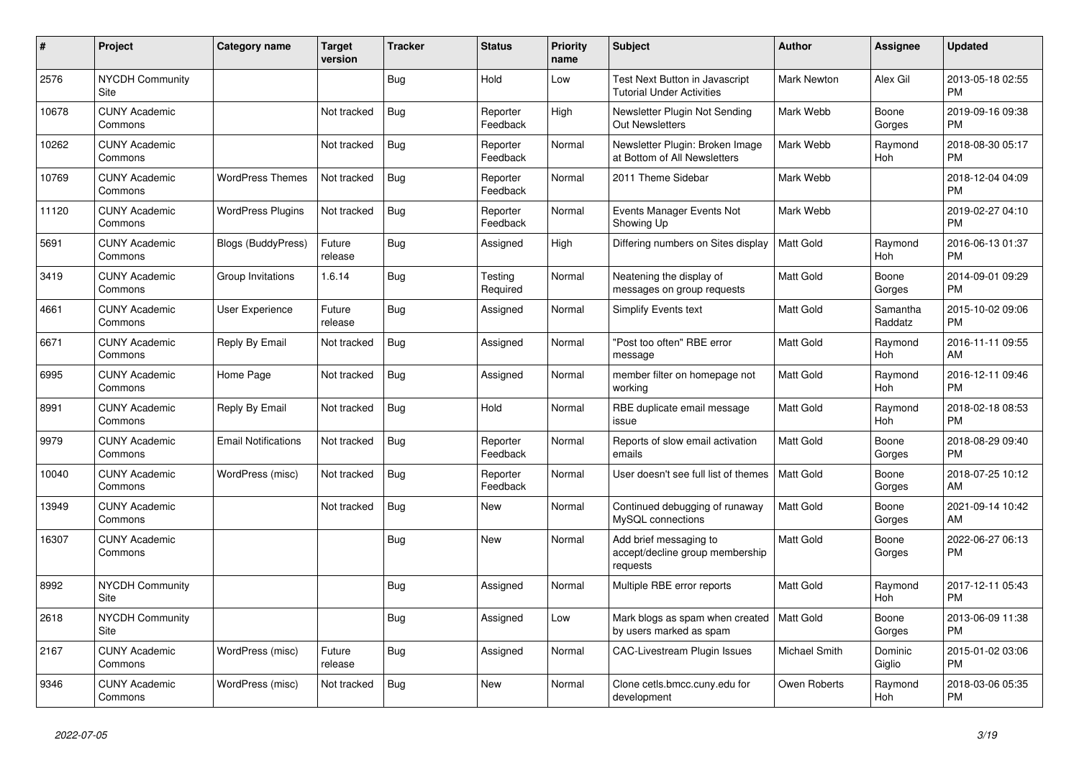| $\vert$ # | <b>Project</b>                        | Category name              | <b>Target</b><br>version | <b>Tracker</b> | <b>Status</b>        | Priority<br>name | <b>Subject</b>                                                         | <b>Author</b>      | Assignee            | <b>Updated</b>                |
|-----------|---------------------------------------|----------------------------|--------------------------|----------------|----------------------|------------------|------------------------------------------------------------------------|--------------------|---------------------|-------------------------------|
| 2576      | <b>NYCDH Community</b><br>Site        |                            |                          | <b>Bug</b>     | Hold                 | Low              | Test Next Button in Javascript<br><b>Tutorial Under Activities</b>     | <b>Mark Newton</b> | Alex Gil            | 2013-05-18 02:55<br><b>PM</b> |
| 10678     | <b>CUNY Academic</b><br>Commons       |                            | Not tracked              | <b>Bug</b>     | Reporter<br>Feedback | High             | Newsletter Plugin Not Sending<br><b>Out Newsletters</b>                | Mark Webb          | Boone<br>Gorges     | 2019-09-16 09:38<br><b>PM</b> |
| 10262     | <b>CUNY Academic</b><br>Commons       |                            | Not tracked              | Bug            | Reporter<br>Feedback | Normal           | Newsletter Plugin: Broken Image<br>at Bottom of All Newsletters        | Mark Webb          | Raymond<br>Hoh      | 2018-08-30 05:17<br><b>PM</b> |
| 10769     | <b>CUNY Academic</b><br>Commons       | <b>WordPress Themes</b>    | Not tracked              | <b>Bug</b>     | Reporter<br>Feedback | Normal           | 2011 Theme Sidebar                                                     | Mark Webb          |                     | 2018-12-04 04:09<br><b>PM</b> |
| 11120     | <b>CUNY Academic</b><br>Commons       | <b>WordPress Plugins</b>   | Not tracked              | Bug            | Reporter<br>Feedback | Normal           | Events Manager Events Not<br>Showing Up                                | Mark Webb          |                     | 2019-02-27 04:10<br><b>PM</b> |
| 5691      | <b>CUNY Academic</b><br>Commons       | <b>Blogs (BuddyPress)</b>  | Future<br>release        | <b>Bug</b>     | Assigned             | High             | Differing numbers on Sites display                                     | Matt Gold          | Raymond<br>Hoh      | 2016-06-13 01:37<br><b>PM</b> |
| 3419      | <b>CUNY Academic</b><br>Commons       | Group Invitations          | 1.6.14                   | <b>Bug</b>     | Testing<br>Required  | Normal           | Neatening the display of<br>messages on group requests                 | <b>Matt Gold</b>   | Boone<br>Gorges     | 2014-09-01 09:29<br><b>PM</b> |
| 4661      | <b>CUNY Academic</b><br>Commons       | User Experience            | Future<br>release        | Bug            | Assigned             | Normal           | Simplify Events text                                                   | <b>Matt Gold</b>   | Samantha<br>Raddatz | 2015-10-02 09:06<br><b>PM</b> |
| 6671      | <b>CUNY Academic</b><br>Commons       | Reply By Email             | Not tracked              | <b>Bug</b>     | Assigned             | Normal           | 'Post too often" RBE error<br>message                                  | <b>Matt Gold</b>   | Raymond<br>Hoh      | 2016-11-11 09:55<br>AM        |
| 6995      | <b>CUNY Academic</b><br>Commons       | Home Page                  | Not tracked              | Bug            | Assigned             | Normal           | member filter on homepage not<br>working                               | <b>Matt Gold</b>   | Raymond<br>Hoh      | 2016-12-11 09:46<br><b>PM</b> |
| 8991      | <b>CUNY Academic</b><br>Commons       | Reply By Email             | Not tracked              | Bug            | Hold                 | Normal           | RBE duplicate email message<br>issue                                   | <b>Matt Gold</b>   | Raymond<br>Hoh      | 2018-02-18 08:53<br><b>PM</b> |
| 9979      | <b>CUNY Academic</b><br>Commons       | <b>Email Notifications</b> | Not tracked              | <b>Bug</b>     | Reporter<br>Feedback | Normal           | Reports of slow email activation<br>emails                             | <b>Matt Gold</b>   | Boone<br>Gorges     | 2018-08-29 09:40<br><b>PM</b> |
| 10040     | <b>CUNY Academic</b><br>Commons       | WordPress (misc)           | Not tracked              | Bug            | Reporter<br>Feedback | Normal           | User doesn't see full list of themes                                   | Matt Gold          | Boone<br>Gorges     | 2018-07-25 10:12<br>AM        |
| 13949     | <b>CUNY Academic</b><br>Commons       |                            | Not tracked              | Bug            | New                  | Normal           | Continued debugging of runaway<br>MySQL connections                    | <b>Matt Gold</b>   | Boone<br>Gorges     | 2021-09-14 10:42<br>AM        |
| 16307     | <b>CUNY Academic</b><br>Commons       |                            |                          | Bug            | <b>New</b>           | Normal           | Add brief messaging to<br>accept/decline group membership<br>requests  | Matt Gold          | Boone<br>Gorges     | 2022-06-27 06:13<br><b>PM</b> |
| 8992      | <b>NYCDH Community</b><br><b>Site</b> |                            |                          | <b>Bug</b>     | Assigned             | Normal           | Multiple RBE error reports                                             | Matt Gold          | Raymond<br>Hoh      | 2017-12-11 05:43<br><b>PM</b> |
| 2618      | NYCDH Community<br>Site               |                            |                          | Bug            | Assigned             | Low              | Mark blogs as spam when created   Matt Gold<br>by users marked as spam |                    | Boone<br>Gorges     | 2013-06-09 11:38<br><b>PM</b> |
| 2167      | <b>CUNY Academic</b><br>Commons       | WordPress (misc)           | Future<br>release        | Bug            | Assigned             | Normal           | <b>CAC-Livestream Plugin Issues</b>                                    | Michael Smith      | Dominic<br>Giglio   | 2015-01-02 03:06<br><b>PM</b> |
| 9346      | <b>CUNY Academic</b><br>Commons       | WordPress (misc)           | Not tracked              | Bug            | <b>New</b>           | Normal           | Clone cetls.bmcc.cuny.edu for<br>development                           | Owen Roberts       | Raymond<br>Hoh      | 2018-03-06 05:35<br><b>PM</b> |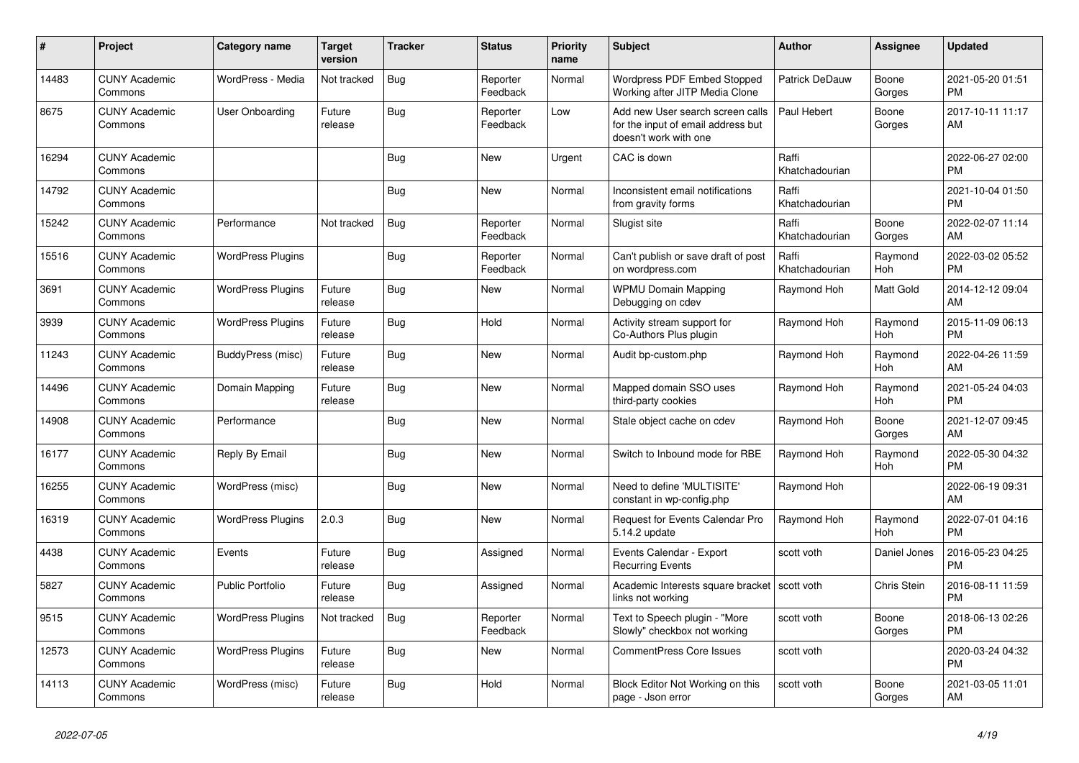| #     | <b>Project</b>                  | <b>Category name</b>     | <b>Target</b><br>version | <b>Tracker</b> | <b>Status</b>        | Priority<br>name | <b>Subject</b>                                                                                  | <b>Author</b>           | Assignee        | <b>Updated</b>                |
|-------|---------------------------------|--------------------------|--------------------------|----------------|----------------------|------------------|-------------------------------------------------------------------------------------------------|-------------------------|-----------------|-------------------------------|
| 14483 | <b>CUNY Academic</b><br>Commons | WordPress - Media        | Not tracked              | Bug            | Reporter<br>Feedback | Normal           | Wordpress PDF Embed Stopped<br>Working after JITP Media Clone                                   | Patrick DeDauw          | Boone<br>Gorges | 2021-05-20 01:51<br><b>PM</b> |
| 8675  | <b>CUNY Academic</b><br>Commons | User Onboarding          | Future<br>release        | Bug            | Reporter<br>Feedback | Low              | Add new User search screen calls<br>for the input of email address but<br>doesn't work with one | Paul Hebert             | Boone<br>Gorges | 2017-10-11 11:17<br>AM        |
| 16294 | <b>CUNY Academic</b><br>Commons |                          |                          | Bug            | <b>New</b>           | Urgent           | CAC is down                                                                                     | Raffi<br>Khatchadourian |                 | 2022-06-27 02:00<br><b>PM</b> |
| 14792 | <b>CUNY Academic</b><br>Commons |                          |                          | <b>Bug</b>     | <b>New</b>           | Normal           | Inconsistent email notifications<br>from gravity forms                                          | Raffi<br>Khatchadourian |                 | 2021-10-04 01:50<br><b>PM</b> |
| 15242 | <b>CUNY Academic</b><br>Commons | Performance              | Not tracked              | Bug            | Reporter<br>Feedback | Normal           | Slugist site                                                                                    | Raffi<br>Khatchadourian | Boone<br>Gorges | 2022-02-07 11:14<br>AM        |
| 15516 | <b>CUNY Academic</b><br>Commons | <b>WordPress Plugins</b> |                          | <b>Bug</b>     | Reporter<br>Feedback | Normal           | Can't publish or save draft of post<br>on wordpress.com                                         | Raffi<br>Khatchadourian | Raymond<br>Hoh  | 2022-03-02 05:52<br><b>PM</b> |
| 3691  | <b>CUNY Academic</b><br>Commons | <b>WordPress Plugins</b> | Future<br>release        | Bug            | <b>New</b>           | Normal           | <b>WPMU Domain Mapping</b><br>Debugging on cdev                                                 | Raymond Hoh             | Matt Gold       | 2014-12-12 09:04<br>AM        |
| 3939  | <b>CUNY Academic</b><br>Commons | <b>WordPress Plugins</b> | Future<br>release        | Bug            | Hold                 | Normal           | Activity stream support for<br>Co-Authors Plus plugin                                           | Raymond Hoh             | Raymond<br>Hoh  | 2015-11-09 06:13<br><b>PM</b> |
| 11243 | <b>CUNY Academic</b><br>Commons | BuddyPress (misc)        | Future<br>release        | <b>Bug</b>     | <b>New</b>           | Normal           | Audit bp-custom.php                                                                             | Raymond Hoh             | Raymond<br>Hoh  | 2022-04-26 11:59<br>AM        |
| 14496 | <b>CUNY Academic</b><br>Commons | Domain Mapping           | Future<br>release        | Bug            | <b>New</b>           | Normal           | Mapped domain SSO uses<br>third-party cookies                                                   | Raymond Hoh             | Raymond<br>Hoh  | 2021-05-24 04:03<br><b>PM</b> |
| 14908 | <b>CUNY Academic</b><br>Commons | Performance              |                          | Bug            | New                  | Normal           | Stale object cache on cdev                                                                      | Raymond Hoh             | Boone<br>Gorges | 2021-12-07 09:45<br>AM        |
| 16177 | <b>CUNY Academic</b><br>Commons | Reply By Email           |                          | Bug            | New                  | Normal           | Switch to Inbound mode for RBE                                                                  | Raymond Hoh             | Raymond<br>Hoh  | 2022-05-30 04:32<br><b>PM</b> |
| 16255 | <b>CUNY Academic</b><br>Commons | WordPress (misc)         |                          | Bug            | <b>New</b>           | Normal           | Need to define 'MULTISITE'<br>constant in wp-config.php                                         | Raymond Hoh             |                 | 2022-06-19 09:31<br>AM        |
| 16319 | <b>CUNY Academic</b><br>Commons | <b>WordPress Plugins</b> | 2.0.3                    | <b>Bug</b>     | <b>New</b>           | Normal           | <b>Request for Events Calendar Pro</b><br>5.14.2 update                                         | Raymond Hoh             | Raymond<br>Hoh  | 2022-07-01 04:16<br><b>PM</b> |
| 4438  | <b>CUNY Academic</b><br>Commons | Events                   | Future<br>release        | Bug            | Assigned             | Normal           | Events Calendar - Export<br><b>Recurring Events</b>                                             | scott voth              | Daniel Jones    | 2016-05-23 04:25<br><b>PM</b> |
| 5827  | <b>CUNY Academic</b><br>Commons | <b>Public Portfolio</b>  | Future<br>release        | <b>Bug</b>     | Assigned             | Normal           | Academic Interests square bracket   scott voth<br>links not working                             |                         | Chris Stein     | 2016-08-11 11:59<br><b>PM</b> |
| 9515  | <b>CUNY Academic</b><br>Commons | <b>WordPress Plugins</b> | Not tracked              | Bug            | Reporter<br>Feedback | Normal           | Text to Speech plugin - "More<br>Slowly" checkbox not working                                   | scott voth              | Boone<br>Gorges | 2018-06-13 02:26<br><b>PM</b> |
| 12573 | <b>CUNY Academic</b><br>Commons | <b>WordPress Plugins</b> | Future<br>release        | <b>Bug</b>     | New                  | Normal           | <b>CommentPress Core Issues</b>                                                                 | scott voth              |                 | 2020-03-24 04:32<br><b>PM</b> |
| 14113 | <b>CUNY Academic</b><br>Commons | WordPress (misc)         | Future<br>release        | Bug            | Hold                 | Normal           | Block Editor Not Working on this<br>page - Json error                                           | scott voth              | Boone<br>Gorges | 2021-03-05 11:01<br>AM        |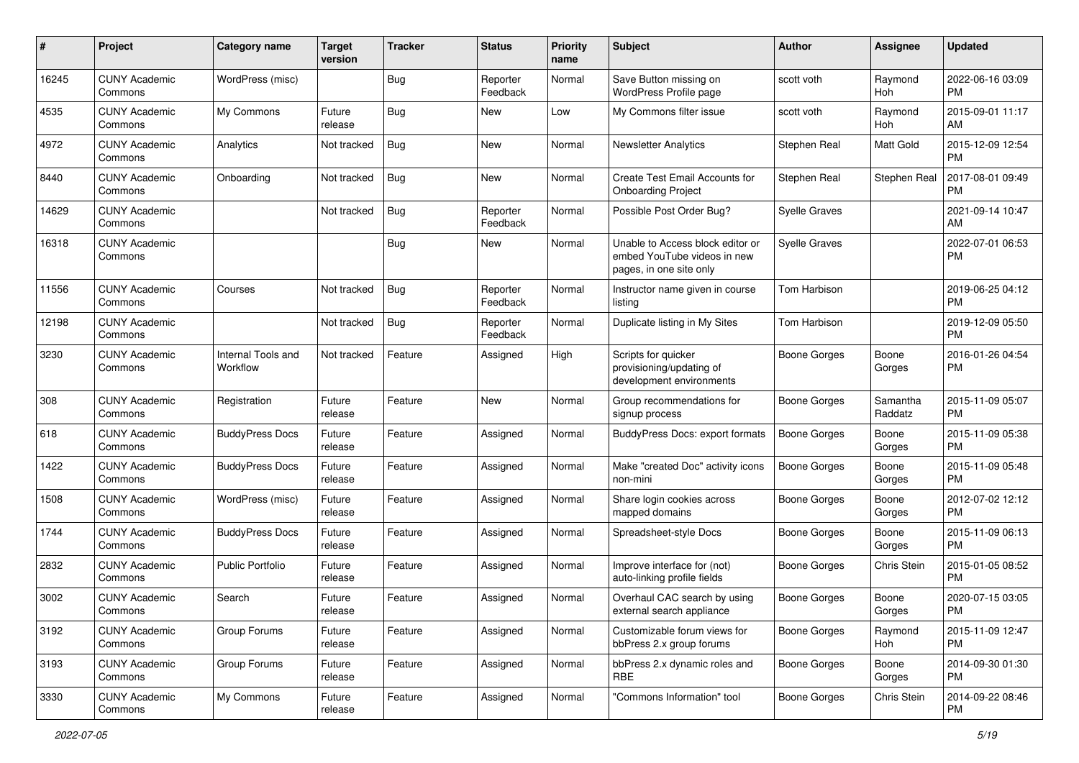| #     | Project                         | <b>Category name</b>           | <b>Target</b><br>version | <b>Tracker</b> | <b>Status</b>        | <b>Priority</b><br>name | <b>Subject</b>                                                                             | Author               | <b>Assignee</b>     | <b>Updated</b>                |
|-------|---------------------------------|--------------------------------|--------------------------|----------------|----------------------|-------------------------|--------------------------------------------------------------------------------------------|----------------------|---------------------|-------------------------------|
| 16245 | <b>CUNY Academic</b><br>Commons | WordPress (misc)               |                          | <b>Bug</b>     | Reporter<br>Feedback | Normal                  | Save Button missing on<br>WordPress Profile page                                           | scott voth           | Raymond<br>Hoh      | 2022-06-16 03:09<br><b>PM</b> |
| 4535  | <b>CUNY Academic</b><br>Commons | My Commons                     | Future<br>release        | <b>Bug</b>     | New                  | Low                     | My Commons filter issue                                                                    | scott voth           | Raymond<br>Hoh      | 2015-09-01 11:17<br>AM        |
| 4972  | <b>CUNY Academic</b><br>Commons | Analytics                      | Not tracked              | Bug            | New                  | Normal                  | <b>Newsletter Analytics</b>                                                                | Stephen Real         | Matt Gold           | 2015-12-09 12:54<br><b>PM</b> |
| 8440  | <b>CUNY Academic</b><br>Commons | Onboarding                     | Not tracked              | Bug            | New                  | Normal                  | Create Test Email Accounts for<br><b>Onboarding Project</b>                                | Stephen Real         | Stephen Real        | 2017-08-01 09:49<br><b>PM</b> |
| 14629 | <b>CUNY Academic</b><br>Commons |                                | Not tracked              | Bug            | Reporter<br>Feedback | Normal                  | Possible Post Order Bug?                                                                   | <b>Syelle Graves</b> |                     | 2021-09-14 10:47<br>AM        |
| 16318 | <b>CUNY Academic</b><br>Commons |                                |                          | <b>Bug</b>     | New                  | Normal                  | Unable to Access block editor or<br>embed YouTube videos in new<br>pages, in one site only | <b>Syelle Graves</b> |                     | 2022-07-01 06:53<br>PM        |
| 11556 | <b>CUNY Academic</b><br>Commons | Courses                        | Not tracked              | Bug            | Reporter<br>Feedback | Normal                  | Instructor name given in course<br>listing                                                 | Tom Harbison         |                     | 2019-06-25 04:12<br><b>PM</b> |
| 12198 | <b>CUNY Academic</b><br>Commons |                                | Not tracked              | Bug            | Reporter<br>Feedback | Normal                  | Duplicate listing in My Sites                                                              | Tom Harbison         |                     | 2019-12-09 05:50<br><b>PM</b> |
| 3230  | <b>CUNY Academic</b><br>Commons | Internal Tools and<br>Workflow | Not tracked              | Feature        | Assigned             | High                    | Scripts for quicker<br>provisioning/updating of<br>development environments                | <b>Boone Gorges</b>  | Boone<br>Gorges     | 2016-01-26 04:54<br><b>PM</b> |
| 308   | <b>CUNY Academic</b><br>Commons | Registration                   | Future<br>release        | Feature        | New                  | Normal                  | Group recommendations for<br>signup process                                                | <b>Boone Gorges</b>  | Samantha<br>Raddatz | 2015-11-09 05:07<br><b>PM</b> |
| 618   | <b>CUNY Academic</b><br>Commons | <b>BuddyPress Docs</b>         | Future<br>release        | Feature        | Assigned             | Normal                  | <b>BuddyPress Docs: export formats</b>                                                     | <b>Boone Gorges</b>  | Boone<br>Gorges     | 2015-11-09 05:38<br><b>PM</b> |
| 1422  | <b>CUNY Academic</b><br>Commons | <b>BuddyPress Docs</b>         | Future<br>release        | Feature        | Assigned             | Normal                  | Make "created Doc" activity icons<br>non-mini                                              | <b>Boone Gorges</b>  | Boone<br>Gorges     | 2015-11-09 05:48<br><b>PM</b> |
| 1508  | <b>CUNY Academic</b><br>Commons | WordPress (misc)               | Future<br>release        | Feature        | Assigned             | Normal                  | Share login cookies across<br>mapped domains                                               | <b>Boone Gorges</b>  | Boone<br>Gorges     | 2012-07-02 12:12<br>PM        |
| 1744  | <b>CUNY Academic</b><br>Commons | <b>BuddyPress Docs</b>         | Future<br>release        | Feature        | Assigned             | Normal                  | Spreadsheet-style Docs                                                                     | <b>Boone Gorges</b>  | Boone<br>Gorges     | 2015-11-09 06:13<br><b>PM</b> |
| 2832  | <b>CUNY Academic</b><br>Commons | <b>Public Portfolio</b>        | Future<br>release        | Feature        | Assigned             | Normal                  | Improve interface for (not)<br>auto-linking profile fields                                 | <b>Boone Gorges</b>  | Chris Stein         | 2015-01-05 08:52<br><b>PM</b> |
| 3002  | <b>CUNY Academic</b><br>Commons | Search                         | Future<br>release        | Feature        | Assigned             | Normal                  | Overhaul CAC search by using<br>external search appliance                                  | <b>Boone Gorges</b>  | Boone<br>Gorges     | 2020-07-15 03:05<br>PM        |
| 3192  | <b>CUNY Academic</b><br>Commons | Group Forums                   | Future<br>release        | Feature        | Assigned             | Normal                  | Customizable forum views for<br>bbPress 2.x group forums                                   | Boone Gorges         | Raymond<br>Hoh      | 2015-11-09 12:47<br><b>PM</b> |
| 3193  | <b>CUNY Academic</b><br>Commons | Group Forums                   | Future<br>release        | Feature        | Assigned             | Normal                  | bbPress 2.x dynamic roles and<br>RBE                                                       | <b>Boone Gorges</b>  | Boone<br>Gorges     | 2014-09-30 01:30<br><b>PM</b> |
| 3330  | <b>CUNY Academic</b><br>Commons | My Commons                     | Future<br>release        | Feature        | Assigned             | Normal                  | "Commons Information" tool                                                                 | Boone Gorges         | Chris Stein         | 2014-09-22 08:46<br><b>PM</b> |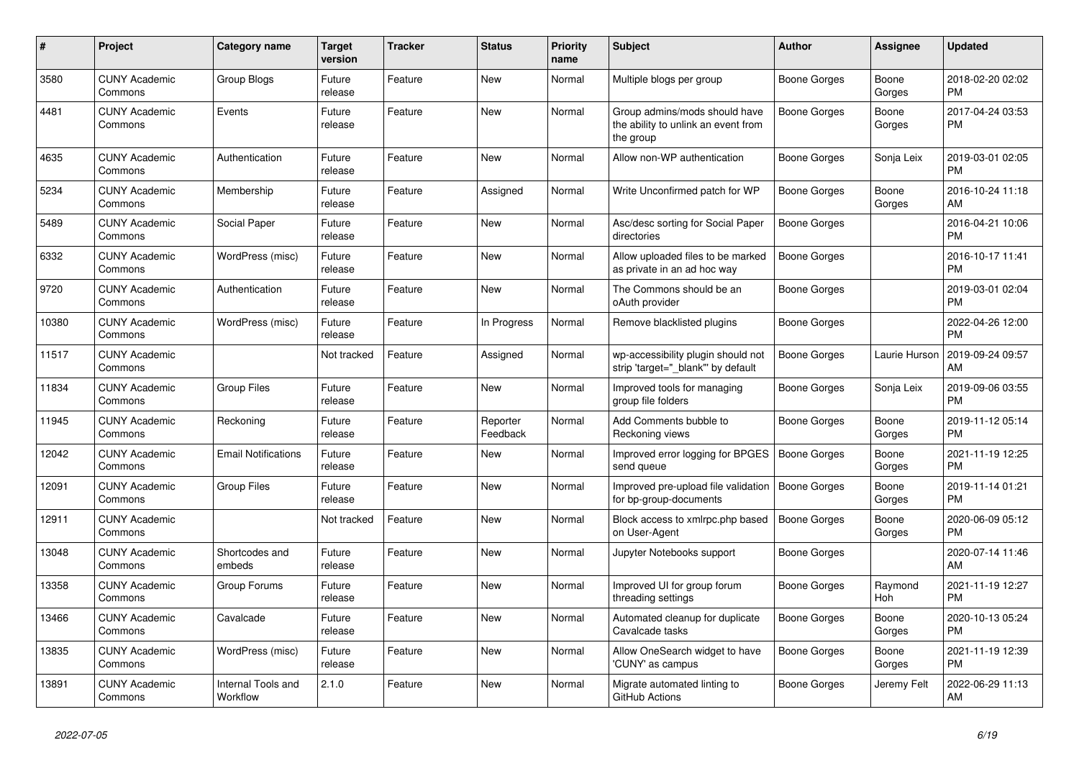| #     | <b>Project</b>                  | <b>Category name</b>           | <b>Target</b><br>version | <b>Tracker</b> | <b>Status</b>        | <b>Priority</b><br>name | <b>Subject</b>                                                                    | <b>Author</b>       | Assignee        | <b>Updated</b>                |
|-------|---------------------------------|--------------------------------|--------------------------|----------------|----------------------|-------------------------|-----------------------------------------------------------------------------------|---------------------|-----------------|-------------------------------|
| 3580  | <b>CUNY Academic</b><br>Commons | Group Blogs                    | Future<br>release        | Feature        | New                  | Normal                  | Multiple blogs per group                                                          | Boone Gorges        | Boone<br>Gorges | 2018-02-20 02:02<br><b>PM</b> |
| 4481  | <b>CUNY Academic</b><br>Commons | Events                         | Future<br>release        | Feature        | New                  | Normal                  | Group admins/mods should have<br>the ability to unlink an event from<br>the group | <b>Boone Gorges</b> | Boone<br>Gorges | 2017-04-24 03:53<br><b>PM</b> |
| 4635  | <b>CUNY Academic</b><br>Commons | Authentication                 | Future<br>release        | Feature        | <b>New</b>           | Normal                  | Allow non-WP authentication                                                       | Boone Gorges        | Sonja Leix      | 2019-03-01 02:05<br><b>PM</b> |
| 5234  | <b>CUNY Academic</b><br>Commons | Membership                     | Future<br>release        | Feature        | Assigned             | Normal                  | Write Unconfirmed patch for WP                                                    | Boone Gorges        | Boone<br>Gorges | 2016-10-24 11:18<br>AM        |
| 5489  | <b>CUNY Academic</b><br>Commons | Social Paper                   | Future<br>release        | Feature        | New                  | Normal                  | Asc/desc sorting for Social Paper<br>directories                                  | <b>Boone Gorges</b> |                 | 2016-04-21 10:06<br><b>PM</b> |
| 6332  | <b>CUNY Academic</b><br>Commons | WordPress (misc)               | Future<br>release        | Feature        | New                  | Normal                  | Allow uploaded files to be marked<br>as private in an ad hoc way                  | Boone Gorges        |                 | 2016-10-17 11:41<br><b>PM</b> |
| 9720  | <b>CUNY Academic</b><br>Commons | Authentication                 | Future<br>release        | Feature        | <b>New</b>           | Normal                  | The Commons should be an<br>oAuth provider                                        | Boone Gorges        |                 | 2019-03-01 02:04<br><b>PM</b> |
| 10380 | <b>CUNY Academic</b><br>Commons | WordPress (misc)               | Future<br>release        | Feature        | In Progress          | Normal                  | Remove blacklisted plugins                                                        | Boone Gorges        |                 | 2022-04-26 12:00<br><b>PM</b> |
| 11517 | <b>CUNY Academic</b><br>Commons |                                | Not tracked              | Feature        | Assigned             | Normal                  | wp-accessibility plugin should not<br>strip 'target="_blank"' by default          | <b>Boone Gorges</b> | Laurie Hurson   | 2019-09-24 09:57<br>AM        |
| 11834 | <b>CUNY Academic</b><br>Commons | <b>Group Files</b>             | Future<br>release        | Feature        | <b>New</b>           | Normal                  | Improved tools for managing<br>group file folders                                 | Boone Gorges        | Sonja Leix      | 2019-09-06 03:55<br><b>PM</b> |
| 11945 | <b>CUNY Academic</b><br>Commons | Reckoning                      | Future<br>release        | Feature        | Reporter<br>Feedback | Normal                  | Add Comments bubble to<br>Reckoning views                                         | Boone Gorges        | Boone<br>Gorges | 2019-11-12 05:14<br><b>PM</b> |
| 12042 | <b>CUNY Academic</b><br>Commons | <b>Email Notifications</b>     | Future<br>release        | Feature        | New                  | Normal                  | Improved error logging for BPGES<br>send queue                                    | <b>Boone Gorges</b> | Boone<br>Gorges | 2021-11-19 12:25<br><b>PM</b> |
| 12091 | <b>CUNY Academic</b><br>Commons | Group Files                    | Future<br>release        | Feature        | <b>New</b>           | Normal                  | Improved pre-upload file validation<br>for bp-group-documents                     | Boone Gorges        | Boone<br>Gorges | 2019-11-14 01:21<br><b>PM</b> |
| 12911 | <b>CUNY Academic</b><br>Commons |                                | Not tracked              | Feature        | New                  | Normal                  | Block access to xmlrpc.php based<br>on User-Agent                                 | <b>Boone Gorges</b> | Boone<br>Gorges | 2020-06-09 05:12<br><b>PM</b> |
| 13048 | <b>CUNY Academic</b><br>Commons | Shortcodes and<br>embeds       | Future<br>release        | Feature        | New                  | Normal                  | Jupyter Notebooks support                                                         | Boone Gorges        |                 | 2020-07-14 11:46<br>AM        |
| 13358 | <b>CUNY Academic</b><br>Commons | Group Forums                   | Future<br>release        | Feature        | <b>New</b>           | Normal                  | Improved UI for group forum<br>threading settings                                 | Boone Gorges        | Raymond<br>Hoh  | 2021-11-19 12:27<br><b>PM</b> |
| 13466 | <b>CUNY Academic</b><br>Commons | Cavalcade                      | Future<br>release        | Feature        | <b>New</b>           | Normal                  | Automated cleanup for duplicate<br>Cavalcade tasks                                | Boone Gorges        | Boone<br>Gorges | 2020-10-13 05:24<br><b>PM</b> |
| 13835 | <b>CUNY Academic</b><br>Commons | WordPress (misc)               | Future<br>release        | Feature        | New                  | Normal                  | Allow OneSearch widget to have<br>'CUNY' as campus                                | Boone Gorges        | Boone<br>Gorges | 2021-11-19 12:39<br><b>PM</b> |
| 13891 | <b>CUNY Academic</b><br>Commons | Internal Tools and<br>Workflow | 2.1.0                    | Feature        | <b>New</b>           | Normal                  | Migrate automated linting to<br>GitHub Actions                                    | Boone Gorges        | Jeremy Felt     | 2022-06-29 11:13<br>AM        |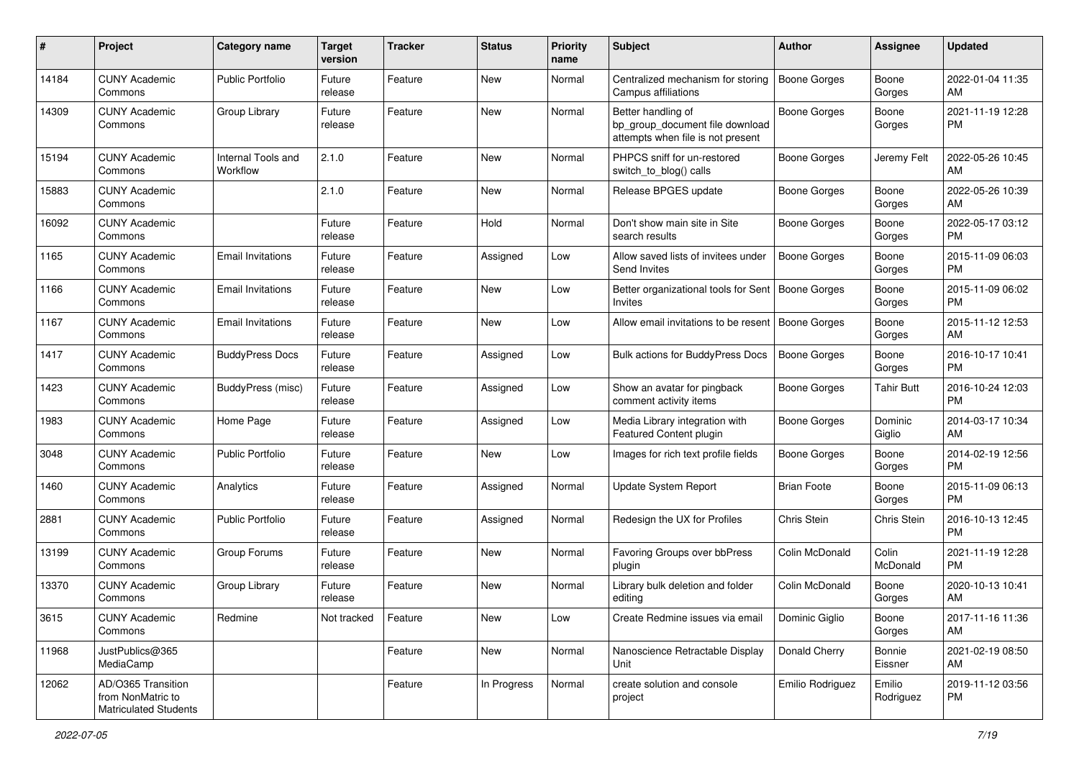| #     | Project                                                                 | <b>Category name</b>           | <b>Target</b><br>version | <b>Tracker</b> | <b>Status</b> | <b>Priority</b><br>name | <b>Subject</b>                                                                             | Author              | <b>Assignee</b>     | <b>Updated</b>                |
|-------|-------------------------------------------------------------------------|--------------------------------|--------------------------|----------------|---------------|-------------------------|--------------------------------------------------------------------------------------------|---------------------|---------------------|-------------------------------|
| 14184 | <b>CUNY Academic</b><br>Commons                                         | <b>Public Portfolio</b>        | Future<br>release        | Feature        | New           | Normal                  | Centralized mechanism for storing<br>Campus affiliations                                   | <b>Boone Gorges</b> | Boone<br>Gorges     | 2022-01-04 11:35<br>AM        |
| 14309 | <b>CUNY Academic</b><br>Commons                                         | Group Library                  | Future<br>release        | Feature        | New           | Normal                  | Better handling of<br>bp_group_document file download<br>attempts when file is not present | <b>Boone Gorges</b> | Boone<br>Gorges     | 2021-11-19 12:28<br><b>PM</b> |
| 15194 | <b>CUNY Academic</b><br>Commons                                         | Internal Tools and<br>Workflow | 2.1.0                    | Feature        | New           | Normal                  | PHPCS sniff for un-restored<br>switch to blog() calls                                      | <b>Boone Gorges</b> | Jeremy Felt         | 2022-05-26 10:45<br>AM        |
| 15883 | <b>CUNY Academic</b><br>Commons                                         |                                | 2.1.0                    | Feature        | New           | Normal                  | Release BPGES update                                                                       | Boone Gorges        | Boone<br>Gorges     | 2022-05-26 10:39<br>AM        |
| 16092 | <b>CUNY Academic</b><br>Commons                                         |                                | Future<br>release        | Feature        | Hold          | Normal                  | Don't show main site in Site<br>search results                                             | <b>Boone Gorges</b> | Boone<br>Gorges     | 2022-05-17 03:12<br><b>PM</b> |
| 1165  | <b>CUNY Academic</b><br>Commons                                         | <b>Email Invitations</b>       | Future<br>release        | Feature        | Assigned      | Low                     | Allow saved lists of invitees under<br>Send Invites                                        | <b>Boone Gorges</b> | Boone<br>Gorges     | 2015-11-09 06:03<br><b>PM</b> |
| 1166  | <b>CUNY Academic</b><br>Commons                                         | <b>Email Invitations</b>       | Future<br>release        | Feature        | New           | Low                     | Better organizational tools for Sent   Boone Gorges<br>Invites                             |                     | Boone<br>Gorges     | 2015-11-09 06:02<br><b>PM</b> |
| 1167  | <b>CUNY Academic</b><br>Commons                                         | <b>Email Invitations</b>       | Future<br>release        | Feature        | New           | Low                     | Allow email invitations to be resent                                                       | Boone Gorges        | Boone<br>Gorges     | 2015-11-12 12:53<br>AM        |
| 1417  | <b>CUNY Academic</b><br>Commons                                         | <b>BuddyPress Docs</b>         | Future<br>release        | Feature        | Assigned      | Low                     | <b>Bulk actions for BuddyPress Docs</b>                                                    | <b>Boone Gorges</b> | Boone<br>Gorges     | 2016-10-17 10:41<br><b>PM</b> |
| 1423  | <b>CUNY Academic</b><br>Commons                                         | BuddyPress (misc)              | Future<br>release        | Feature        | Assigned      | Low                     | Show an avatar for pingback<br>comment activity items                                      | <b>Boone Gorges</b> | Tahir Butt          | 2016-10-24 12:03<br><b>PM</b> |
| 1983  | <b>CUNY Academic</b><br>Commons                                         | Home Page                      | Future<br>release        | Feature        | Assigned      | Low                     | Media Library integration with<br>Featured Content plugin                                  | <b>Boone Gorges</b> | Dominic<br>Giglio   | 2014-03-17 10:34<br>AM        |
| 3048  | <b>CUNY Academic</b><br>Commons                                         | <b>Public Portfolio</b>        | Future<br>release        | Feature        | New           | Low                     | Images for rich text profile fields                                                        | <b>Boone Gorges</b> | Boone<br>Gorges     | 2014-02-19 12:56<br><b>PM</b> |
| 1460  | <b>CUNY Academic</b><br>Commons                                         | Analytics                      | Future<br>release        | Feature        | Assigned      | Normal                  | <b>Update System Report</b>                                                                | <b>Brian Foote</b>  | Boone<br>Gorges     | 2015-11-09 06:13<br><b>PM</b> |
| 2881  | <b>CUNY Academic</b><br>Commons                                         | <b>Public Portfolio</b>        | Future<br>release        | Feature        | Assigned      | Normal                  | Redesign the UX for Profiles                                                               | Chris Stein         | Chris Stein         | 2016-10-13 12:45<br><b>PM</b> |
| 13199 | <b>CUNY Academic</b><br>Commons                                         | Group Forums                   | Future<br>release        | Feature        | New           | Normal                  | Favoring Groups over bbPress<br>plugin                                                     | Colin McDonald      | Colin<br>McDonald   | 2021-11-19 12:28<br><b>PM</b> |
| 13370 | <b>CUNY Academic</b><br>Commons                                         | Group Library                  | Future<br>release        | Feature        | New           | Normal                  | Library bulk deletion and folder<br>editing                                                | Colin McDonald      | Boone<br>Gorges     | 2020-10-13 10:41<br>AM        |
| 3615  | <b>CUNY Academic</b><br>Commons                                         | Redmine                        | Not tracked              | Feature        | New           | Low                     | Create Redmine issues via email                                                            | Dominic Giglio      | Boone<br>Gorges     | 2017-11-16 11:36<br>AM        |
| 11968 | JustPublics@365<br>MediaCamp                                            |                                |                          | Feature        | New           | Normal                  | Nanoscience Retractable Display<br>Unit                                                    | Donald Cherry       | Bonnie<br>Eissner   | 2021-02-19 08:50<br>AM        |
| 12062 | AD/O365 Transition<br>from NonMatric to<br><b>Matriculated Students</b> |                                |                          | Feature        | In Progress   | Normal                  | create solution and console<br>project                                                     | Emilio Rodriguez    | Emilio<br>Rodriguez | 2019-11-12 03:56<br><b>PM</b> |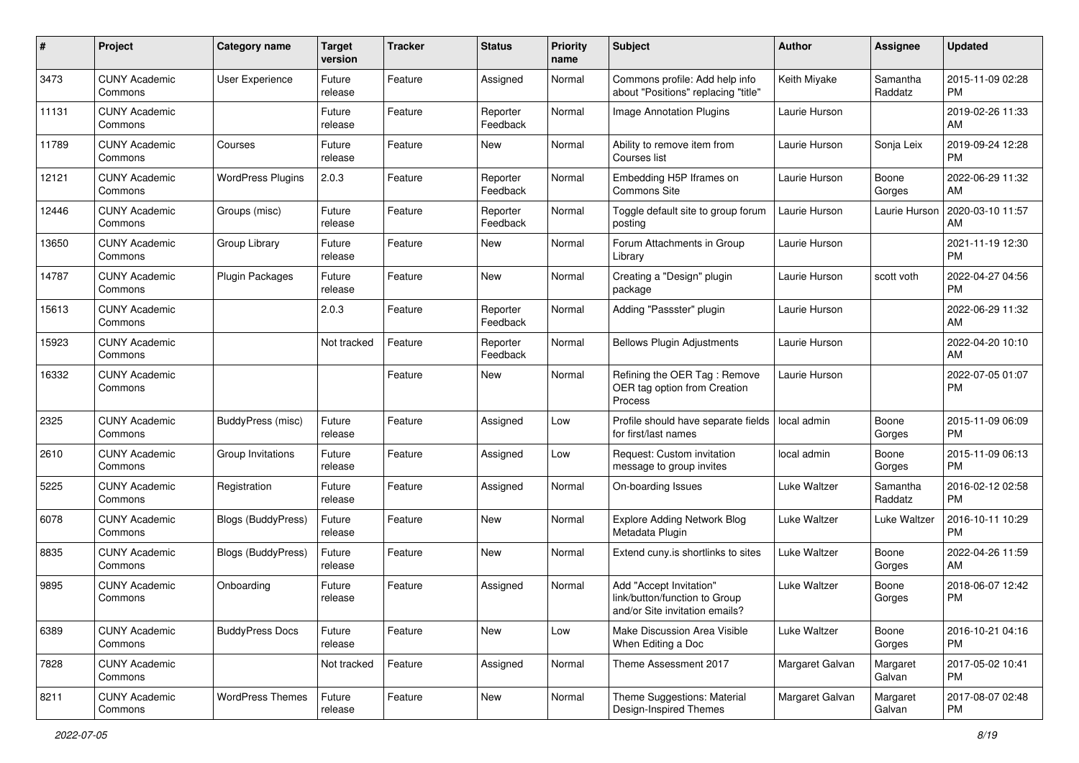| #     | Project                         | <b>Category name</b>      | <b>Target</b><br>version | <b>Tracker</b> | <b>Status</b>        | <b>Priority</b><br>name | <b>Subject</b>                                                                             | Author              | <b>Assignee</b>     | <b>Updated</b>                |
|-------|---------------------------------|---------------------------|--------------------------|----------------|----------------------|-------------------------|--------------------------------------------------------------------------------------------|---------------------|---------------------|-------------------------------|
| 3473  | <b>CUNY Academic</b><br>Commons | <b>User Experience</b>    | Future<br>release        | Feature        | Assigned             | Normal                  | Commons profile: Add help info<br>about "Positions" replacing "title"                      | Keith Miyake        | Samantha<br>Raddatz | 2015-11-09 02:28<br><b>PM</b> |
| 11131 | <b>CUNY Academic</b><br>Commons |                           | Future<br>release        | Feature        | Reporter<br>Feedback | Normal                  | Image Annotation Plugins                                                                   | Laurie Hurson       |                     | 2019-02-26 11:33<br>AM        |
| 11789 | <b>CUNY Academic</b><br>Commons | Courses                   | Future<br>release        | Feature        | New                  | Normal                  | Ability to remove item from<br>Courses list                                                | Laurie Hurson       | Sonja Leix          | 2019-09-24 12:28<br><b>PM</b> |
| 12121 | <b>CUNY Academic</b><br>Commons | <b>WordPress Plugins</b>  | 2.0.3                    | Feature        | Reporter<br>Feedback | Normal                  | Embedding H5P Iframes on<br>Commons Site                                                   | Laurie Hurson       | Boone<br>Gorges     | 2022-06-29 11:32<br>AM        |
| 12446 | <b>CUNY Academic</b><br>Commons | Groups (misc)             | Future<br>release        | Feature        | Reporter<br>Feedback | Normal                  | Toggle default site to group forum<br>posting                                              | Laurie Hurson       | Laurie Hurson       | 2020-03-10 11:57<br>AM        |
| 13650 | <b>CUNY Academic</b><br>Commons | Group Library             | Future<br>release        | Feature        | New                  | Normal                  | Forum Attachments in Group<br>Library                                                      | Laurie Hurson       |                     | 2021-11-19 12:30<br><b>PM</b> |
| 14787 | <b>CUNY Academic</b><br>Commons | <b>Plugin Packages</b>    | Future<br>release        | Feature        | New                  | Normal                  | Creating a "Design" plugin<br>package                                                      | Laurie Hurson       | scott voth          | 2022-04-27 04:56<br><b>PM</b> |
| 15613 | <b>CUNY Academic</b><br>Commons |                           | 2.0.3                    | Feature        | Reporter<br>Feedback | Normal                  | Adding "Passster" plugin                                                                   | Laurie Hurson       |                     | 2022-06-29 11:32<br>AM        |
| 15923 | <b>CUNY Academic</b><br>Commons |                           | Not tracked              | Feature        | Reporter<br>Feedback | Normal                  | <b>Bellows Plugin Adjustments</b>                                                          | Laurie Hurson       |                     | 2022-04-20 10:10<br>AM        |
| 16332 | <b>CUNY Academic</b><br>Commons |                           |                          | Feature        | New                  | Normal                  | Refining the OER Tag: Remove<br>OER tag option from Creation<br>Process                    | Laurie Hurson       |                     | 2022-07-05 01:07<br>PM        |
| 2325  | <b>CUNY Academic</b><br>Commons | BuddyPress (misc)         | Future<br>release        | Feature        | Assigned             | Low                     | Profile should have separate fields<br>for first/last names                                | local admin         | Boone<br>Gorges     | 2015-11-09 06:09<br><b>PM</b> |
| 2610  | <b>CUNY Academic</b><br>Commons | Group Invitations         | Future<br>release        | Feature        | Assigned             | Low                     | Request: Custom invitation<br>message to group invites                                     | local admin         | Boone<br>Gorges     | 2015-11-09 06:13<br><b>PM</b> |
| 5225  | <b>CUNY Academic</b><br>Commons | Registration              | Future<br>release        | Feature        | Assigned             | Normal                  | On-boarding Issues                                                                         | <b>Luke Waltzer</b> | Samantha<br>Raddatz | 2016-02-12 02:58<br><b>PM</b> |
| 6078  | <b>CUNY Academic</b><br>Commons | <b>Blogs (BuddyPress)</b> | Future<br>release        | Feature        | New                  | Normal                  | <b>Explore Adding Network Blog</b><br>Metadata Plugin                                      | Luke Waltzer        | Luke Waltzer        | 2016-10-11 10:29<br><b>PM</b> |
| 8835  | <b>CUNY Academic</b><br>Commons | <b>Blogs (BuddyPress)</b> | Future<br>release        | Feature        | New                  | Normal                  | Extend cuny is shortlinks to sites                                                         | Luke Waltzer        | Boone<br>Gorges     | 2022-04-26 11:59<br>AM        |
| 9895  | <b>CUNY Academic</b><br>Commons | Onboarding                | Future<br>release        | Feature        | Assigned             | Normal                  | Add "Accept Invitation"<br>link/button/function to Group<br>and/or Site invitation emails? | <b>Luke Waltzer</b> | Boone<br>Gorges     | 2018-06-07 12:42<br><b>PM</b> |
| 6389  | <b>CUNY Academic</b><br>Commons | <b>BuddyPress Docs</b>    | Future<br>release        | Feature        | New                  | Low                     | Make Discussion Area Visible<br>When Editing a Doc                                         | Luke Waltzer        | Boone<br>Gorges     | 2016-10-21 04:16<br><b>PM</b> |
| 7828  | <b>CUNY Academic</b><br>Commons |                           | Not tracked              | Feature        | Assigned             | Normal                  | Theme Assessment 2017                                                                      | Margaret Galvan     | Margaret<br>Galvan  | 2017-05-02 10:41<br><b>PM</b> |
| 8211  | <b>CUNY Academic</b><br>Commons | <b>WordPress Themes</b>   | Future<br>release        | Feature        | New                  | Normal                  | Theme Suggestions: Material<br>Design-Inspired Themes                                      | Margaret Galvan     | Margaret<br>Galvan  | 2017-08-07 02:48<br>PM        |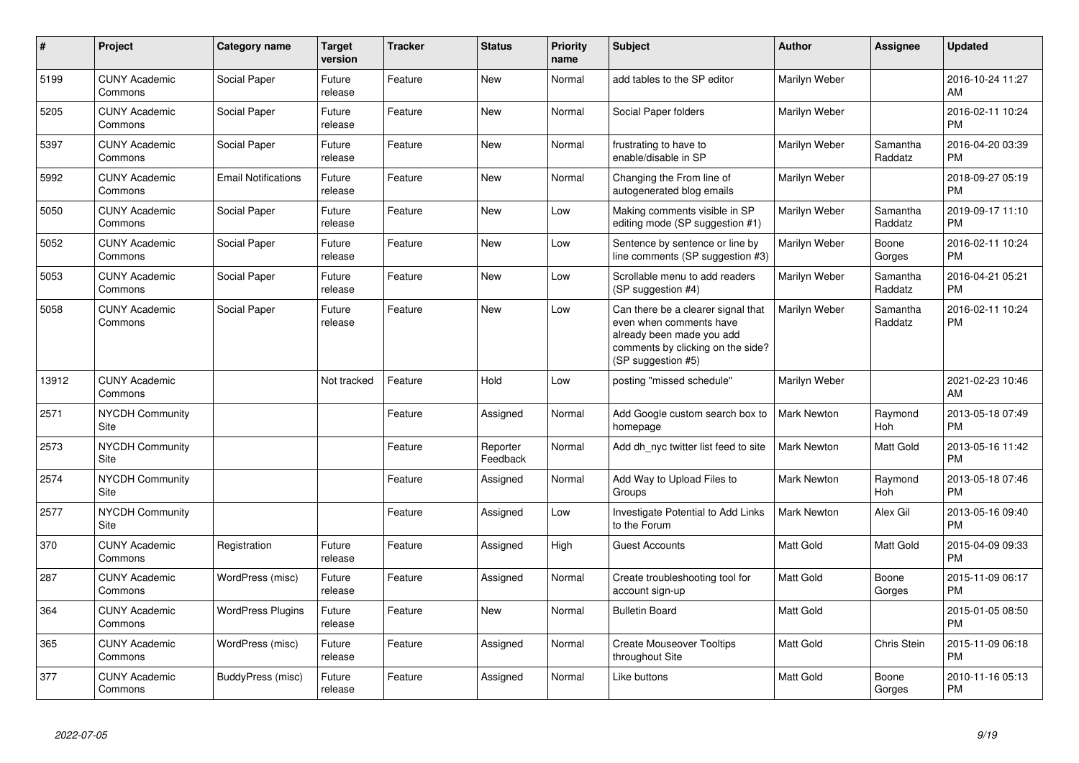| $\pmb{\sharp}$ | Project                         | <b>Category name</b>       | Target<br>version | <b>Tracker</b> | <b>Status</b>        | <b>Priority</b><br>name | <b>Subject</b>                                                                                                                                        | <b>Author</b>      | Assignee            | <b>Updated</b>                |
|----------------|---------------------------------|----------------------------|-------------------|----------------|----------------------|-------------------------|-------------------------------------------------------------------------------------------------------------------------------------------------------|--------------------|---------------------|-------------------------------|
| 5199           | <b>CUNY Academic</b><br>Commons | Social Paper               | Future<br>release | Feature        | <b>New</b>           | Normal                  | add tables to the SP editor                                                                                                                           | Marilyn Weber      |                     | 2016-10-24 11:27<br>AM        |
| 5205           | <b>CUNY Academic</b><br>Commons | Social Paper               | Future<br>release | Feature        | New                  | Normal                  | Social Paper folders                                                                                                                                  | Marilyn Weber      |                     | 2016-02-11 10:24<br>PM        |
| 5397           | <b>CUNY Academic</b><br>Commons | Social Paper               | Future<br>release | Feature        | New                  | Normal                  | frustrating to have to<br>enable/disable in SP                                                                                                        | Marilyn Weber      | Samantha<br>Raddatz | 2016-04-20 03:39<br><b>PM</b> |
| 5992           | <b>CUNY Academic</b><br>Commons | <b>Email Notifications</b> | Future<br>release | Feature        | New                  | Normal                  | Changing the From line of<br>autogenerated blog emails                                                                                                | Marilyn Weber      |                     | 2018-09-27 05:19<br><b>PM</b> |
| 5050           | <b>CUNY Academic</b><br>Commons | Social Paper               | Future<br>release | Feature        | New                  | Low                     | Making comments visible in SP<br>editing mode (SP suggestion #1)                                                                                      | Marilyn Weber      | Samantha<br>Raddatz | 2019-09-17 11:10<br><b>PM</b> |
| 5052           | <b>CUNY Academic</b><br>Commons | Social Paper               | Future<br>release | Feature        | New                  | Low                     | Sentence by sentence or line by<br>line comments (SP suggestion #3)                                                                                   | Marilyn Weber      | Boone<br>Gorges     | 2016-02-11 10:24<br><b>PM</b> |
| 5053           | <b>CUNY Academic</b><br>Commons | Social Paper               | Future<br>release | Feature        | New                  | Low                     | Scrollable menu to add readers<br>(SP suggestion #4)                                                                                                  | Marilyn Weber      | Samantha<br>Raddatz | 2016-04-21 05:21<br><b>PM</b> |
| 5058           | <b>CUNY Academic</b><br>Commons | Social Paper               | Future<br>release | Feature        | <b>New</b>           | Low                     | Can there be a clearer signal that<br>even when comments have<br>already been made you add<br>comments by clicking on the side?<br>(SP suggestion #5) | Marilyn Weber      | Samantha<br>Raddatz | 2016-02-11 10:24<br><b>PM</b> |
| 13912          | <b>CUNY Academic</b><br>Commons |                            | Not tracked       | Feature        | Hold                 | Low                     | posting "missed schedule"                                                                                                                             | Marilyn Weber      |                     | 2021-02-23 10:46<br>AM        |
| 2571           | <b>NYCDH Community</b><br>Site  |                            |                   | Feature        | Assigned             | Normal                  | Add Google custom search box to<br>homepage                                                                                                           | <b>Mark Newton</b> | Raymond<br>Hoh      | 2013-05-18 07:49<br><b>PM</b> |
| 2573           | <b>NYCDH Community</b><br>Site  |                            |                   | Feature        | Reporter<br>Feedback | Normal                  | Add dh nyc twitter list feed to site                                                                                                                  | Mark Newton        | Matt Gold           | 2013-05-16 11:42<br><b>PM</b> |
| 2574           | <b>NYCDH Community</b><br>Site  |                            |                   | Feature        | Assigned             | Normal                  | Add Way to Upload Files to<br>Groups                                                                                                                  | Mark Newton        | Raymond<br>Hoh      | 2013-05-18 07:46<br><b>PM</b> |
| 2577           | <b>NYCDH Community</b><br>Site  |                            |                   | Feature        | Assigned             | Low                     | <b>Investigate Potential to Add Links</b><br>to the Forum                                                                                             | Mark Newton        | Alex Gil            | 2013-05-16 09:40<br><b>PM</b> |
| 370            | <b>CUNY Academic</b><br>Commons | Registration               | Future<br>release | Feature        | Assigned             | High                    | <b>Guest Accounts</b>                                                                                                                                 | Matt Gold          | Matt Gold           | 2015-04-09 09:33<br><b>PM</b> |
| 287            | <b>CUNY Academic</b><br>Commons | WordPress (misc)           | Future<br>release | Feature        | Assigned             | Normal                  | Create troubleshooting tool for<br>account sign-up                                                                                                    | Matt Gold          | Boone<br>Gorges     | 2015-11-09 06:17<br><b>PM</b> |
| 364            | <b>CUNY Academic</b><br>Commons | <b>WordPress Plugins</b>   | Future<br>release | Feature        | <b>New</b>           | Normal                  | <b>Bulletin Board</b>                                                                                                                                 | Matt Gold          |                     | 2015-01-05 08:50<br><b>PM</b> |
| 365            | <b>CUNY Academic</b><br>Commons | WordPress (misc)           | Future<br>release | Feature        | Assigned             | Normal                  | <b>Create Mouseover Tooltips</b><br>throughout Site                                                                                                   | <b>Matt Gold</b>   | Chris Stein         | 2015-11-09 06:18<br>PM        |
| 377            | <b>CUNY Academic</b><br>Commons | BuddyPress (misc)          | Future<br>release | Feature        | Assigned             | Normal                  | Like buttons                                                                                                                                          | Matt Gold          | Boone<br>Gorges     | 2010-11-16 05:13<br>PM        |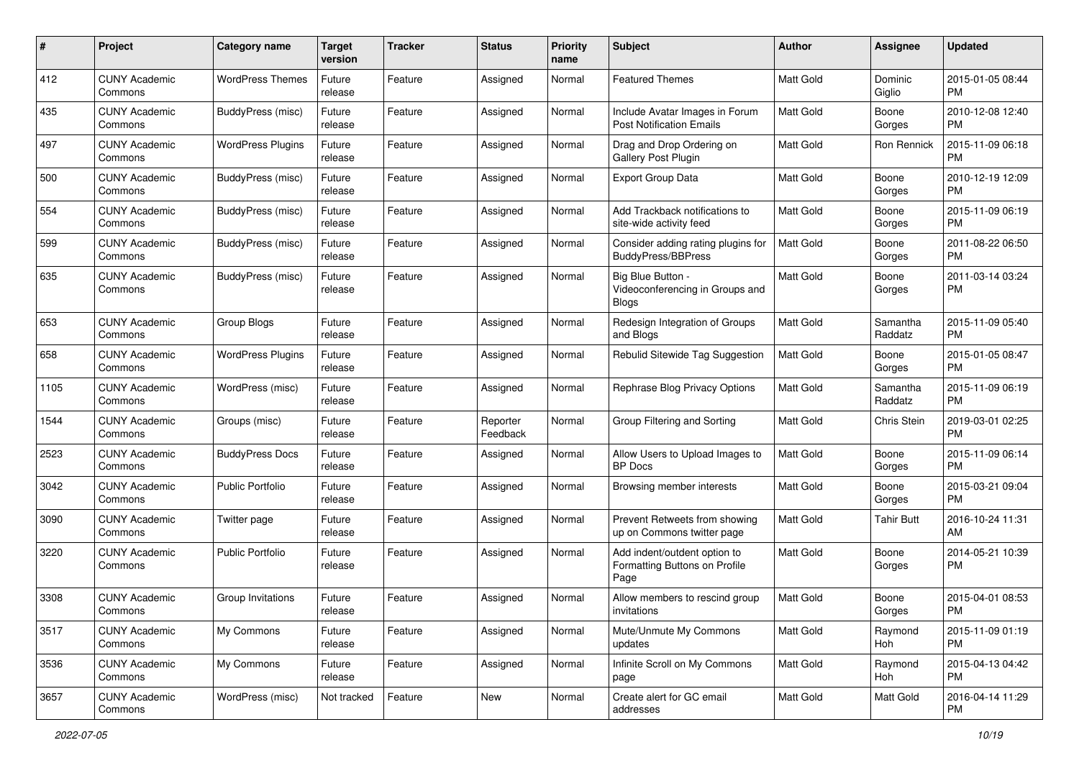| #    | Project                         | <b>Category name</b>     | <b>Target</b><br>version | <b>Tracker</b> | <b>Status</b>        | Priority<br>name | <b>Subject</b>                                                        | Author           | <b>Assignee</b>     | <b>Updated</b>                |
|------|---------------------------------|--------------------------|--------------------------|----------------|----------------------|------------------|-----------------------------------------------------------------------|------------------|---------------------|-------------------------------|
| 412  | <b>CUNY Academic</b><br>Commons | <b>WordPress Themes</b>  | Future<br>release        | Feature        | Assigned             | Normal           | <b>Featured Themes</b>                                                | <b>Matt Gold</b> | Dominic<br>Giglio   | 2015-01-05 08:44<br><b>PM</b> |
| 435  | <b>CUNY Academic</b><br>Commons | BuddyPress (misc)        | Future<br>release        | Feature        | Assigned             | Normal           | Include Avatar Images in Forum<br><b>Post Notification Emails</b>     | <b>Matt Gold</b> | Boone<br>Gorges     | 2010-12-08 12:40<br><b>PM</b> |
| 497  | <b>CUNY Academic</b><br>Commons | <b>WordPress Plugins</b> | Future<br>release        | Feature        | Assigned             | Normal           | Drag and Drop Ordering on<br><b>Gallery Post Plugin</b>               | Matt Gold        | Ron Rennick         | 2015-11-09 06:18<br><b>PM</b> |
| 500  | <b>CUNY Academic</b><br>Commons | BuddyPress (misc)        | Future<br>release        | Feature        | Assigned             | Normal           | <b>Export Group Data</b>                                              | <b>Matt Gold</b> | Boone<br>Gorges     | 2010-12-19 12:09<br><b>PM</b> |
| 554  | <b>CUNY Academic</b><br>Commons | BuddyPress (misc)        | Future<br>release        | Feature        | Assigned             | Normal           | Add Trackback notifications to<br>site-wide activity feed             | <b>Matt Gold</b> | Boone<br>Gorges     | 2015-11-09 06:19<br><b>PM</b> |
| 599  | <b>CUNY Academic</b><br>Commons | BuddyPress (misc)        | Future<br>release        | Feature        | Assigned             | Normal           | Consider adding rating plugins for<br><b>BuddyPress/BBPress</b>       | <b>Matt Gold</b> | Boone<br>Gorges     | 2011-08-22 06:50<br><b>PM</b> |
| 635  | <b>CUNY Academic</b><br>Commons | BuddyPress (misc)        | Future<br>release        | Feature        | Assigned             | Normal           | Big Blue Button -<br>Videoconferencing in Groups and<br><b>Blogs</b>  | Matt Gold        | Boone<br>Gorges     | 2011-03-14 03:24<br>PM        |
| 653  | <b>CUNY Academic</b><br>Commons | Group Blogs              | Future<br>release        | Feature        | Assigned             | Normal           | Redesign Integration of Groups<br>and Blogs                           | Matt Gold        | Samantha<br>Raddatz | 2015-11-09 05:40<br><b>PM</b> |
| 658  | <b>CUNY Academic</b><br>Commons | <b>WordPress Plugins</b> | Future<br>release        | Feature        | Assigned             | Normal           | Rebulid Sitewide Tag Suggestion                                       | <b>Matt Gold</b> | Boone<br>Gorges     | 2015-01-05 08:47<br>PM.       |
| 1105 | <b>CUNY Academic</b><br>Commons | WordPress (misc)         | Future<br>release        | Feature        | Assigned             | Normal           | Rephrase Blog Privacy Options                                         | Matt Gold        | Samantha<br>Raddatz | 2015-11-09 06:19<br><b>PM</b> |
| 1544 | <b>CUNY Academic</b><br>Commons | Groups (misc)            | Future<br>release        | Feature        | Reporter<br>Feedback | Normal           | Group Filtering and Sorting                                           | Matt Gold        | <b>Chris Stein</b>  | 2019-03-01 02:25<br><b>PM</b> |
| 2523 | <b>CUNY Academic</b><br>Commons | <b>BuddyPress Docs</b>   | Future<br>release        | Feature        | Assigned             | Normal           | Allow Users to Upload Images to<br><b>BP</b> Docs                     | <b>Matt Gold</b> | Boone<br>Gorges     | 2015-11-09 06:14<br>PM.       |
| 3042 | <b>CUNY Academic</b><br>Commons | <b>Public Portfolio</b>  | Future<br>release        | Feature        | Assigned             | Normal           | Browsing member interests                                             | Matt Gold        | Boone<br>Gorges     | 2015-03-21 09:04<br><b>PM</b> |
| 3090 | <b>CUNY Academic</b><br>Commons | Twitter page             | Future<br>release        | Feature        | Assigned             | Normal           | Prevent Retweets from showing<br>up on Commons twitter page           | Matt Gold        | <b>Tahir Butt</b>   | 2016-10-24 11:31<br>AM        |
| 3220 | <b>CUNY Academic</b><br>Commons | <b>Public Portfolio</b>  | Future<br>release        | Feature        | Assigned             | Normal           | Add indent/outdent option to<br>Formatting Buttons on Profile<br>Page | Matt Gold        | Boone<br>Gorges     | 2014-05-21 10:39<br><b>PM</b> |
| 3308 | <b>CUNY Academic</b><br>Commons | Group Invitations        | Future<br>release        | Feature        | Assigned             | Normal           | Allow members to rescind group<br>invitations                         | Matt Gold        | Boone<br>Gorges     | 2015-04-01 08:53<br>PM        |
| 3517 | <b>CUNY Academic</b><br>Commons | My Commons               | Future<br>release        | Feature        | Assigned             | Normal           | Mute/Unmute My Commons<br>updates                                     | Matt Gold        | Raymond<br>Hoh      | 2015-11-09 01:19<br>PM        |
| 3536 | <b>CUNY Academic</b><br>Commons | My Commons               | Future<br>release        | Feature        | Assigned             | Normal           | Infinite Scroll on My Commons<br>page                                 | Matt Gold        | Raymond<br>Hoh      | 2015-04-13 04:42<br><b>PM</b> |
| 3657 | <b>CUNY Academic</b><br>Commons | WordPress (misc)         | Not tracked              | Feature        | New                  | Normal           | Create alert for GC email<br>addresses                                | Matt Gold        | Matt Gold           | 2016-04-14 11:29<br><b>PM</b> |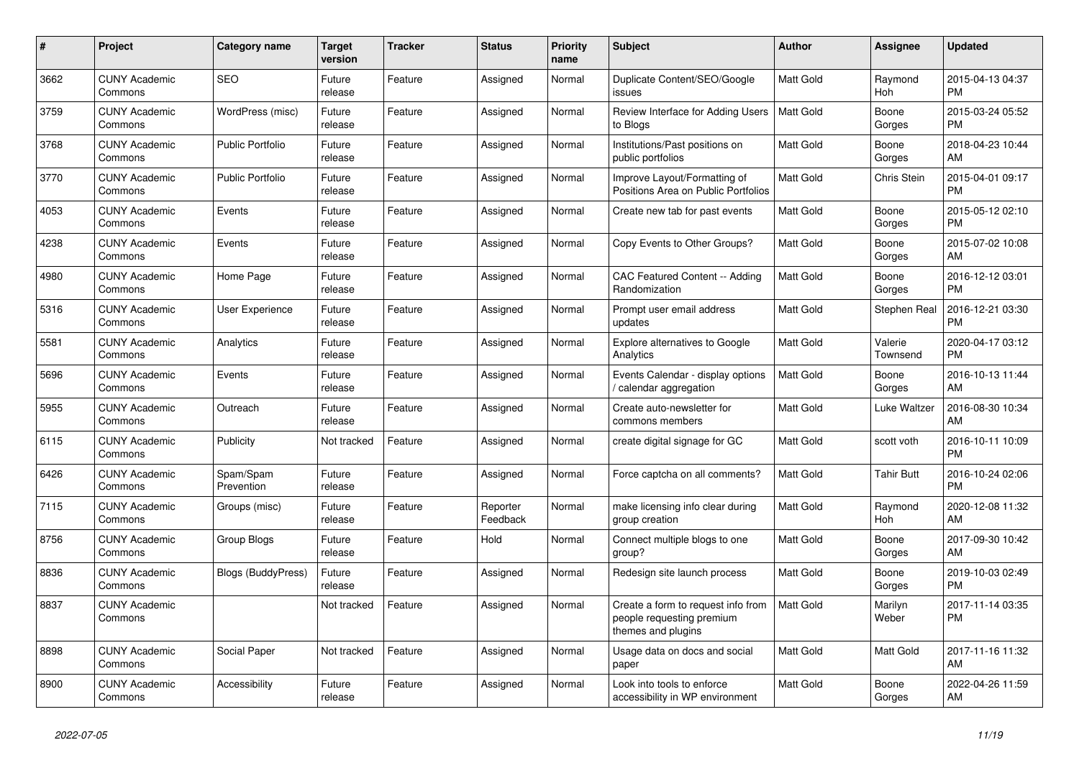| #    | Project                         | <b>Category name</b>    | <b>Target</b><br>version | <b>Tracker</b> | <b>Status</b>        | Priority<br>name | <b>Subject</b>                                                                        | <b>Author</b>    | Assignee            | <b>Updated</b>                |
|------|---------------------------------|-------------------------|--------------------------|----------------|----------------------|------------------|---------------------------------------------------------------------------------------|------------------|---------------------|-------------------------------|
| 3662 | <b>CUNY Academic</b><br>Commons | <b>SEO</b>              | Future<br>release        | Feature        | Assigned             | Normal           | Duplicate Content/SEO/Google<br>issues                                                | <b>Matt Gold</b> | Raymond<br>Hoh      | 2015-04-13 04:37<br><b>PM</b> |
| 3759 | <b>CUNY Academic</b><br>Commons | WordPress (misc)        | Future<br>release        | Feature        | Assigned             | Normal           | Review Interface for Adding Users<br>to Blogs                                         | <b>Matt Gold</b> | Boone<br>Gorges     | 2015-03-24 05:52<br><b>PM</b> |
| 3768 | <b>CUNY Academic</b><br>Commons | Public Portfolio        | Future<br>release        | Feature        | Assigned             | Normal           | Institutions/Past positions on<br>public portfolios                                   | Matt Gold        | Boone<br>Gorges     | 2018-04-23 10:44<br>AM        |
| 3770 | <b>CUNY Academic</b><br>Commons | <b>Public Portfolio</b> | Future<br>release        | Feature        | Assigned             | Normal           | Improve Layout/Formatting of<br>Positions Area on Public Portfolios                   | Matt Gold        | Chris Stein         | 2015-04-01 09:17<br><b>PM</b> |
| 4053 | <b>CUNY Academic</b><br>Commons | Events                  | Future<br>release        | Feature        | Assigned             | Normal           | Create new tab for past events                                                        | Matt Gold        | Boone<br>Gorges     | 2015-05-12 02:10<br><b>PM</b> |
| 4238 | <b>CUNY Academic</b><br>Commons | Events                  | Future<br>release        | Feature        | Assigned             | Normal           | Copy Events to Other Groups?                                                          | Matt Gold        | Boone<br>Gorges     | 2015-07-02 10:08<br>AM        |
| 4980 | <b>CUNY Academic</b><br>Commons | Home Page               | Future<br>release        | Feature        | Assigned             | Normal           | CAC Featured Content -- Adding<br>Randomization                                       | <b>Matt Gold</b> | Boone<br>Gorges     | 2016-12-12 03:01<br><b>PM</b> |
| 5316 | <b>CUNY Academic</b><br>Commons | User Experience         | Future<br>release        | Feature        | Assigned             | Normal           | Prompt user email address<br>updates                                                  | <b>Matt Gold</b> | <b>Stephen Real</b> | 2016-12-21 03:30<br><b>PM</b> |
| 5581 | <b>CUNY Academic</b><br>Commons | Analytics               | Future<br>release        | Feature        | Assigned             | Normal           | <b>Explore alternatives to Google</b><br>Analytics                                    | Matt Gold        | Valerie<br>Townsend | 2020-04-17 03:12<br><b>PM</b> |
| 5696 | <b>CUNY Academic</b><br>Commons | Events                  | Future<br>release        | Feature        | Assigned             | Normal           | Events Calendar - display options<br>calendar aggregation                             | <b>Matt Gold</b> | Boone<br>Gorges     | 2016-10-13 11:44<br>AM        |
| 5955 | <b>CUNY Academic</b><br>Commons | Outreach                | Future<br>release        | Feature        | Assigned             | Normal           | Create auto-newsletter for<br>commons members                                         | Matt Gold        | Luke Waltzer        | 2016-08-30 10:34<br>AM        |
| 6115 | <b>CUNY Academic</b><br>Commons | Publicity               | Not tracked              | Feature        | Assigned             | Normal           | create digital signage for GC                                                         | <b>Matt Gold</b> | scott voth          | 2016-10-11 10:09<br><b>PM</b> |
| 6426 | <b>CUNY Academic</b><br>Commons | Spam/Spam<br>Prevention | Future<br>release        | Feature        | Assigned             | Normal           | Force captcha on all comments?                                                        | <b>Matt Gold</b> | Tahir Butt          | 2016-10-24 02:06<br><b>PM</b> |
| 7115 | <b>CUNY Academic</b><br>Commons | Groups (misc)           | Future<br>release        | Feature        | Reporter<br>Feedback | Normal           | make licensing info clear during<br>group creation                                    | <b>Matt Gold</b> | Raymond<br>Hoh      | 2020-12-08 11:32<br>AM        |
| 8756 | <b>CUNY Academic</b><br>Commons | Group Blogs             | Future<br>release        | Feature        | Hold                 | Normal           | Connect multiple blogs to one<br>group?                                               | Matt Gold        | Boone<br>Gorges     | 2017-09-30 10:42<br>AM        |
| 8836 | <b>CUNY Academic</b><br>Commons | Blogs (BuddyPress)      | Future<br>release        | Feature        | Assigned             | Normal           | Redesign site launch process                                                          | Matt Gold        | Boone<br>Gorges     | 2019-10-03 02:49<br><b>PM</b> |
| 8837 | <b>CUNY Academic</b><br>Commons |                         | Not tracked              | Feature        | Assigned             | Normal           | Create a form to request info from<br>people requesting premium<br>themes and plugins | <b>Matt Gold</b> | Marilyn<br>Weber    | 2017-11-14 03:35<br><b>PM</b> |
| 8898 | <b>CUNY Academic</b><br>Commons | Social Paper            | Not tracked              | Feature        | Assigned             | Normal           | Usage data on docs and social<br>paper                                                | Matt Gold        | Matt Gold           | 2017-11-16 11:32<br>AM        |
| 8900 | <b>CUNY Academic</b><br>Commons | Accessibility           | Future<br>release        | Feature        | Assigned             | Normal           | Look into tools to enforce<br>accessibility in WP environment                         | <b>Matt Gold</b> | Boone<br>Gorges     | 2022-04-26 11:59<br>AM        |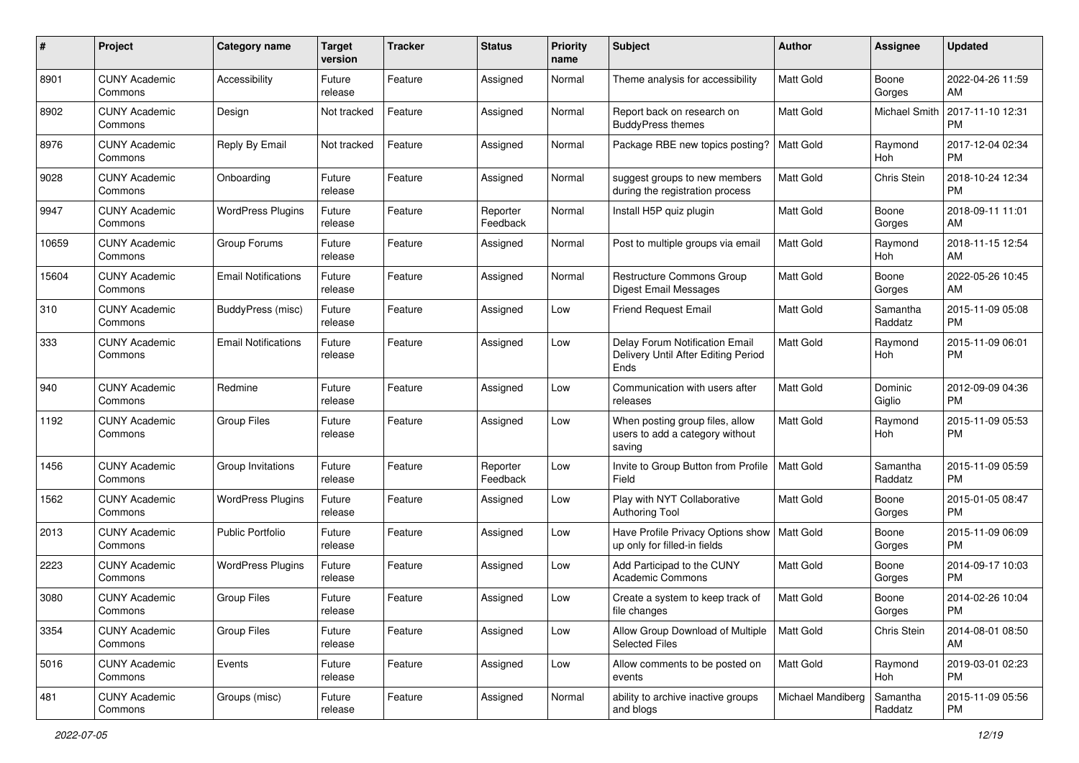| #     | Project                         | <b>Category name</b>       | <b>Target</b><br>version | <b>Tracker</b> | <b>Status</b>        | Priority<br>name | <b>Subject</b>                                                                | Author            | <b>Assignee</b>     | <b>Updated</b>                |
|-------|---------------------------------|----------------------------|--------------------------|----------------|----------------------|------------------|-------------------------------------------------------------------------------|-------------------|---------------------|-------------------------------|
| 8901  | <b>CUNY Academic</b><br>Commons | Accessibility              | Future<br>release        | Feature        | Assigned             | Normal           | Theme analysis for accessibility                                              | <b>Matt Gold</b>  | Boone<br>Gorges     | 2022-04-26 11:59<br>AM        |
| 8902  | <b>CUNY Academic</b><br>Commons | Design                     | Not tracked              | Feature        | Assigned             | Normal           | Report back on research on<br><b>BuddyPress themes</b>                        | Matt Gold         | Michael Smith       | 2017-11-10 12:31<br><b>PM</b> |
| 8976  | CUNY Academic<br>Commons        | Reply By Email             | Not tracked              | Feature        | Assigned             | Normal           | Package RBE new topics posting?                                               | <b>Matt Gold</b>  | Raymond<br>Hoh      | 2017-12-04 02:34<br><b>PM</b> |
| 9028  | <b>CUNY Academic</b><br>Commons | Onboarding                 | Future<br>release        | Feature        | Assigned             | Normal           | suggest groups to new members<br>during the registration process              | Matt Gold         | <b>Chris Stein</b>  | 2018-10-24 12:34<br><b>PM</b> |
| 9947  | <b>CUNY Academic</b><br>Commons | <b>WordPress Plugins</b>   | Future<br>release        | Feature        | Reporter<br>Feedback | Normal           | Install H5P quiz plugin                                                       | Matt Gold         | Boone<br>Gorges     | 2018-09-11 11:01<br>AM        |
| 10659 | <b>CUNY Academic</b><br>Commons | Group Forums               | Future<br>release        | Feature        | Assigned             | Normal           | Post to multiple groups via email                                             | Matt Gold         | Raymond<br>Hoh      | 2018-11-15 12:54<br>AM        |
| 15604 | <b>CUNY Academic</b><br>Commons | <b>Email Notifications</b> | Future<br>release        | Feature        | Assigned             | Normal           | <b>Restructure Commons Group</b><br>Digest Email Messages                     | Matt Gold         | Boone<br>Gorges     | 2022-05-26 10:45<br>AM        |
| 310   | <b>CUNY Academic</b><br>Commons | BuddyPress (misc)          | Future<br>release        | Feature        | Assigned             | Low              | <b>Friend Request Email</b>                                                   | <b>Matt Gold</b>  | Samantha<br>Raddatz | 2015-11-09 05:08<br><b>PM</b> |
| 333   | CUNY Academic<br>Commons        | <b>Email Notifications</b> | Future<br>release        | Feature        | Assigned             | Low              | Delay Forum Notification Email<br>Delivery Until After Editing Period<br>Ends | <b>Matt Gold</b>  | Raymond<br>Hoh      | 2015-11-09 06:01<br><b>PM</b> |
| 940   | CUNY Academic<br>Commons        | Redmine                    | Future<br>release        | Feature        | Assigned             | Low              | Communication with users after<br>releases                                    | <b>Matt Gold</b>  | Dominic<br>Giglio   | 2012-09-09 04:36<br><b>PM</b> |
| 1192  | <b>CUNY Academic</b><br>Commons | <b>Group Files</b>         | Future<br>release        | Feature        | Assigned             | Low              | When posting group files, allow<br>users to add a category without<br>saving  | Matt Gold         | Raymond<br>Hoh      | 2015-11-09 05:53<br><b>PM</b> |
| 1456  | <b>CUNY Academic</b><br>Commons | Group Invitations          | Future<br>release        | Feature        | Reporter<br>Feedback | Low              | Invite to Group Button from Profile<br>Field                                  | <b>Matt Gold</b>  | Samantha<br>Raddatz | 2015-11-09 05:59<br><b>PM</b> |
| 1562  | CUNY Academic<br>Commons        | <b>WordPress Plugins</b>   | Future<br>release        | Feature        | Assigned             | Low              | Play with NYT Collaborative<br><b>Authoring Tool</b>                          | Matt Gold         | Boone<br>Gorges     | 2015-01-05 08:47<br>PM        |
| 2013  | <b>CUNY Academic</b><br>Commons | <b>Public Portfolio</b>    | Future<br>release        | Feature        | Assigned             | Low              | Have Profile Privacy Options show   Matt Gold<br>up only for filled-in fields |                   | Boone<br>Gorges     | 2015-11-09 06:09<br><b>PM</b> |
| 2223  | <b>CUNY Academic</b><br>Commons | <b>WordPress Plugins</b>   | Future<br>release        | Feature        | Assigned             | Low              | Add Participad to the CUNY<br><b>Academic Commons</b>                         | Matt Gold         | Boone<br>Gorges     | 2014-09-17 10:03<br><b>PM</b> |
| 3080  | <b>CUNY Academic</b><br>Commons | Group Files                | Future<br>release        | Feature        | Assigned             | Low              | Create a system to keep track of<br>file changes                              | Matt Gold         | Boone<br>Gorges     | 2014-02-26 10:04<br>PM        |
| 3354  | <b>CUNY Academic</b><br>Commons | <b>Group Files</b>         | Future<br>release        | Feature        | Assigned             | Low              | Allow Group Download of Multiple<br><b>Selected Files</b>                     | Matt Gold         | Chris Stein         | 2014-08-01 08:50<br>AM        |
| 5016  | <b>CUNY Academic</b><br>Commons | Events                     | Future<br>release        | Feature        | Assigned             | Low              | Allow comments to be posted on<br>events                                      | <b>Matt Gold</b>  | Raymond<br>Hoh      | 2019-03-01 02:23<br><b>PM</b> |
| 481   | <b>CUNY Academic</b><br>Commons | Groups (misc)              | Future<br>release        | Feature        | Assigned             | Normal           | ability to archive inactive groups<br>and blogs                               | Michael Mandiberg | Samantha<br>Raddatz | 2015-11-09 05:56<br><b>PM</b> |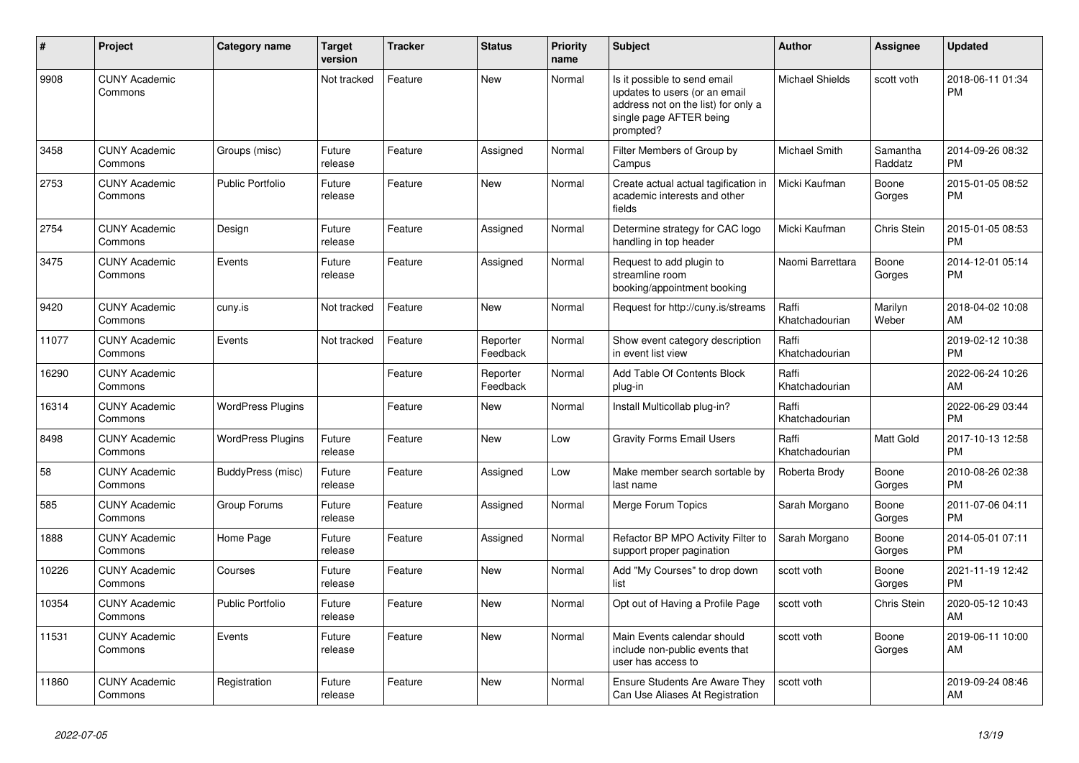| $\#$  | <b>Project</b>                  | <b>Category name</b>     | <b>Target</b><br>version | <b>Tracker</b> | <b>Status</b>        | <b>Priority</b><br>name | <b>Subject</b>                                                                                                                               | Author                  | Assignee            | <b>Updated</b>                |
|-------|---------------------------------|--------------------------|--------------------------|----------------|----------------------|-------------------------|----------------------------------------------------------------------------------------------------------------------------------------------|-------------------------|---------------------|-------------------------------|
| 9908  | <b>CUNY Academic</b><br>Commons |                          | Not tracked              | Feature        | <b>New</b>           | Normal                  | Is it possible to send email<br>updates to users (or an email<br>address not on the list) for only a<br>single page AFTER being<br>prompted? | <b>Michael Shields</b>  | scott voth          | 2018-06-11 01:34<br><b>PM</b> |
| 3458  | <b>CUNY Academic</b><br>Commons | Groups (misc)            | Future<br>release        | Feature        | Assigned             | Normal                  | Filter Members of Group by<br>Campus                                                                                                         | <b>Michael Smith</b>    | Samantha<br>Raddatz | 2014-09-26 08:32<br><b>PM</b> |
| 2753  | <b>CUNY Academic</b><br>Commons | <b>Public Portfolio</b>  | Future<br>release        | Feature        | <b>New</b>           | Normal                  | Create actual actual tagification in<br>academic interests and other<br>fields                                                               | Micki Kaufman           | Boone<br>Gorges     | 2015-01-05 08:52<br><b>PM</b> |
| 2754  | <b>CUNY Academic</b><br>Commons | Design                   | Future<br>release        | Feature        | Assigned             | Normal                  | Determine strategy for CAC logo<br>handling in top header                                                                                    | Micki Kaufman           | Chris Stein         | 2015-01-05 08:53<br><b>PM</b> |
| 3475  | <b>CUNY Academic</b><br>Commons | Events                   | Future<br>release        | Feature        | Assigned             | Normal                  | Request to add plugin to<br>streamline room<br>booking/appointment booking                                                                   | Naomi Barrettara        | Boone<br>Gorges     | 2014-12-01 05:14<br><b>PM</b> |
| 9420  | <b>CUNY Academic</b><br>Commons | cuny.is                  | Not tracked              | Feature        | New                  | Normal                  | Request for http://cuny.is/streams                                                                                                           | Raffi<br>Khatchadourian | Marilyn<br>Weber    | 2018-04-02 10:08<br>AM        |
| 11077 | <b>CUNY Academic</b><br>Commons | Events                   | Not tracked              | Feature        | Reporter<br>Feedback | Normal                  | Show event category description<br>in event list view                                                                                        | Raffi<br>Khatchadourian |                     | 2019-02-12 10:38<br><b>PM</b> |
| 16290 | <b>CUNY Academic</b><br>Commons |                          |                          | Feature        | Reporter<br>Feedback | Normal                  | Add Table Of Contents Block<br>plug-in                                                                                                       | Raffi<br>Khatchadourian |                     | 2022-06-24 10:26<br>AM        |
| 16314 | <b>CUNY Academic</b><br>Commons | <b>WordPress Plugins</b> |                          | Feature        | <b>New</b>           | Normal                  | Install Multicollab plug-in?                                                                                                                 | Raffi<br>Khatchadourian |                     | 2022-06-29 03:44<br><b>PM</b> |
| 8498  | <b>CUNY Academic</b><br>Commons | <b>WordPress Plugins</b> | Future<br>release        | Feature        | <b>New</b>           | Low                     | <b>Gravity Forms Email Users</b>                                                                                                             | Raffi<br>Khatchadourian | Matt Gold           | 2017-10-13 12:58<br><b>PM</b> |
| 58    | <b>CUNY Academic</b><br>Commons | BuddyPress (misc)        | Future<br>release        | Feature        | Assigned             | Low                     | Make member search sortable by<br>last name                                                                                                  | Roberta Brody           | Boone<br>Gorges     | 2010-08-26 02:38<br><b>PM</b> |
| 585   | <b>CUNY Academic</b><br>Commons | Group Forums             | Future<br>release        | Feature        | Assigned             | Normal                  | Merge Forum Topics                                                                                                                           | Sarah Morgano           | Boone<br>Gorges     | 2011-07-06 04:11<br><b>PM</b> |
| 1888  | <b>CUNY Academic</b><br>Commons | Home Page                | Future<br>release        | Feature        | Assigned             | Normal                  | Refactor BP MPO Activity Filter to<br>support proper pagination                                                                              | Sarah Morgano           | Boone<br>Gorges     | 2014-05-01 07:11<br><b>PM</b> |
| 10226 | <b>CUNY Academic</b><br>Commons | Courses                  | Future<br>release        | Feature        | <b>New</b>           | Normal                  | Add "My Courses" to drop down<br>list                                                                                                        | scott voth              | Boone<br>Gorges     | 2021-11-19 12:42<br><b>PM</b> |
| 10354 | <b>CUNY Academic</b><br>Commons | <b>Public Portfolio</b>  | Future<br>release        | Feature        | <b>New</b>           | Normal                  | Opt out of Having a Profile Page                                                                                                             | scott voth              | Chris Stein         | 2020-05-12 10:43<br>AM        |
| 11531 | <b>CUNY Academic</b><br>Commons | Events                   | Future<br>release        | Feature        | New                  | Normal                  | Main Events calendar should<br>include non-public events that<br>user has access to                                                          | scott voth              | Boone<br>Gorges     | 2019-06-11 10:00<br>AM        |
| 11860 | <b>CUNY Academic</b><br>Commons | Registration             | Future<br>release        | Feature        | <b>New</b>           | Normal                  | <b>Ensure Students Are Aware They</b><br>Can Use Aliases At Registration                                                                     | scott voth              |                     | 2019-09-24 08:46<br>AM        |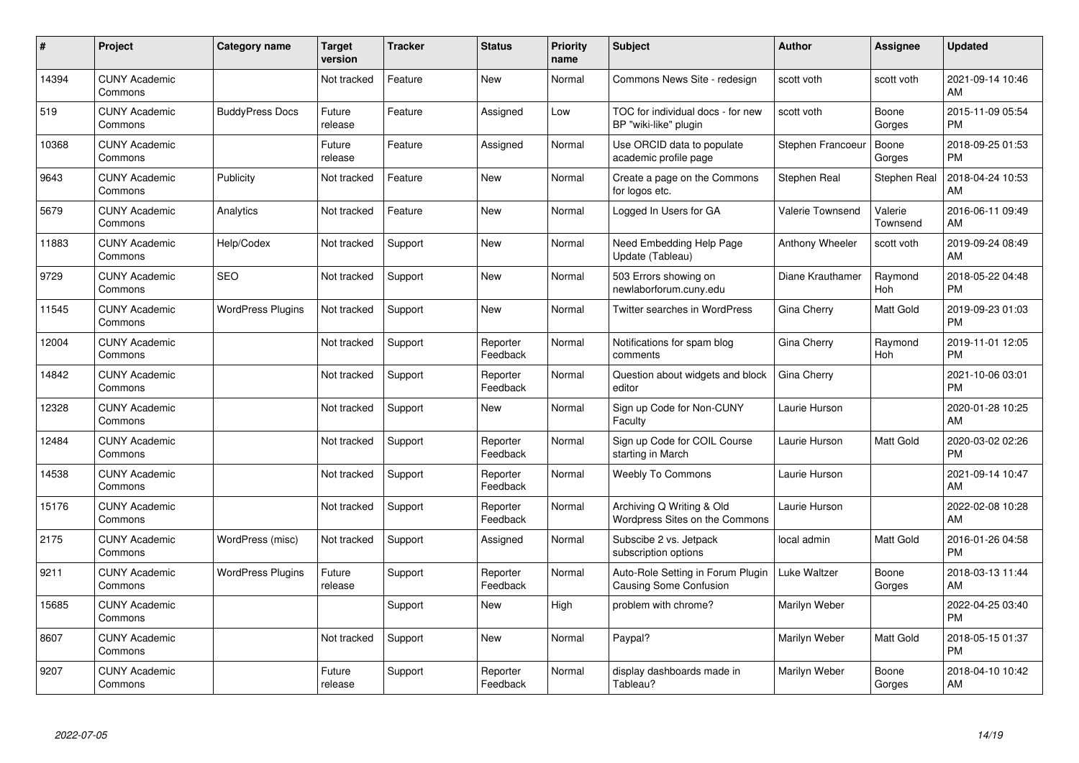| #     | Project                         | Category name            | <b>Target</b><br>version | <b>Tracker</b> | <b>Status</b>        | Priority<br>name | <b>Subject</b>                                                     | <b>Author</b>    | <b>Assignee</b>     | <b>Updated</b>                |
|-------|---------------------------------|--------------------------|--------------------------|----------------|----------------------|------------------|--------------------------------------------------------------------|------------------|---------------------|-------------------------------|
| 14394 | <b>CUNY Academic</b><br>Commons |                          | Not tracked              | Feature        | <b>New</b>           | Normal           | Commons News Site - redesign                                       | scott voth       | scott voth          | 2021-09-14 10:46<br>AM        |
| 519   | <b>CUNY Academic</b><br>Commons | <b>BuddyPress Docs</b>   | Future<br>release        | Feature        | Assigned             | Low              | TOC for individual docs - for new<br>BP "wiki-like" plugin         | scott voth       | Boone<br>Gorges     | 2015-11-09 05:54<br><b>PM</b> |
| 10368 | <b>CUNY Academic</b><br>Commons |                          | Future<br>release        | Feature        | Assigned             | Normal           | Use ORCID data to populate<br>academic profile page                | Stephen Francoeu | Boone<br>Gorges     | 2018-09-25 01:53<br><b>PM</b> |
| 9643  | <b>CUNY Academic</b><br>Commons | Publicity                | Not tracked              | Feature        | <b>New</b>           | Normal           | Create a page on the Commons<br>for logos etc.                     | Stephen Real     | Stephen Real        | 2018-04-24 10:53<br>AM        |
| 5679  | <b>CUNY Academic</b><br>Commons | Analytics                | Not tracked              | Feature        | <b>New</b>           | Normal           | Logged In Users for GA                                             | Valerie Townsend | Valerie<br>Townsend | 2016-06-11 09:49<br>AM        |
| 11883 | <b>CUNY Academic</b><br>Commons | Help/Codex               | Not tracked              | Support        | <b>New</b>           | Normal           | Need Embedding Help Page<br>Update (Tableau)                       | Anthony Wheeler  | scott voth          | 2019-09-24 08:49<br>AM        |
| 9729  | <b>CUNY Academic</b><br>Commons | <b>SEO</b>               | Not tracked              | Support        | <b>New</b>           | Normal           | 503 Errors showing on<br>newlaborforum.cuny.edu                    | Diane Krauthamer | Raymond<br>Hoh      | 2018-05-22 04:48<br><b>PM</b> |
| 11545 | <b>CUNY Academic</b><br>Commons | <b>WordPress Plugins</b> | Not tracked              | Support        | <b>New</b>           | Normal           | Twitter searches in WordPress                                      | Gina Cherry      | Matt Gold           | 2019-09-23 01:03<br><b>PM</b> |
| 12004 | <b>CUNY Academic</b><br>Commons |                          | Not tracked              | Support        | Reporter<br>Feedback | Normal           | Notifications for spam blog<br>comments                            | Gina Cherry      | Raymond<br>Hoh      | 2019-11-01 12:05<br><b>PM</b> |
| 14842 | <b>CUNY Academic</b><br>Commons |                          | Not tracked              | Support        | Reporter<br>Feedback | Normal           | Question about widgets and block<br>editor                         | Gina Cherry      |                     | 2021-10-06 03:01<br><b>PM</b> |
| 12328 | <b>CUNY Academic</b><br>Commons |                          | Not tracked              | Support        | New                  | Normal           | Sign up Code for Non-CUNY<br>Faculty                               | Laurie Hurson    |                     | 2020-01-28 10:25<br>AM        |
| 12484 | <b>CUNY Academic</b><br>Commons |                          | Not tracked              | Support        | Reporter<br>Feedback | Normal           | Sign up Code for COIL Course<br>starting in March                  | Laurie Hurson    | Matt Gold           | 2020-03-02 02:26<br><b>PM</b> |
| 14538 | <b>CUNY Academic</b><br>Commons |                          | Not tracked              | Support        | Reporter<br>Feedback | Normal           | <b>Weebly To Commons</b>                                           | Laurie Hurson    |                     | 2021-09-14 10:47<br>AM        |
| 15176 | <b>CUNY Academic</b><br>Commons |                          | Not tracked              | Support        | Reporter<br>Feedback | Normal           | Archiving Q Writing & Old<br><b>Wordpress Sites on the Commons</b> | Laurie Hurson    |                     | 2022-02-08 10:28<br>AM        |
| 2175  | <b>CUNY Academic</b><br>Commons | WordPress (misc)         | Not tracked              | Support        | Assigned             | Normal           | Subscibe 2 vs. Jetpack<br>subscription options                     | local admin      | Matt Gold           | 2016-01-26 04:58<br><b>PM</b> |
| 9211  | <b>CUNY Academic</b><br>Commons | <b>WordPress Plugins</b> | Future<br>release        | Support        | Reporter<br>Feedback | Normal           | Auto-Role Setting in Forum Plugin<br>Causing Some Confusion        | Luke Waltzer     | Boone<br>Gorges     | 2018-03-13 11:44<br>AM        |
| 15685 | <b>CUNY Academic</b><br>Commons |                          |                          | Support        | New                  | High             | problem with chrome?                                               | Marilyn Weber    |                     | 2022-04-25 03:40<br><b>PM</b> |
| 8607  | <b>CUNY Academic</b><br>Commons |                          | Not tracked              | Support        | <b>New</b>           | Normal           | Paypal?                                                            | Marilyn Weber    | Matt Gold           | 2018-05-15 01:37<br><b>PM</b> |
| 9207  | <b>CUNY Academic</b><br>Commons |                          | Future<br>release        | Support        | Reporter<br>Feedback | Normal           | display dashboards made in<br>Tableau?                             | Marilyn Weber    | Boone<br>Gorges     | 2018-04-10 10:42<br>AM        |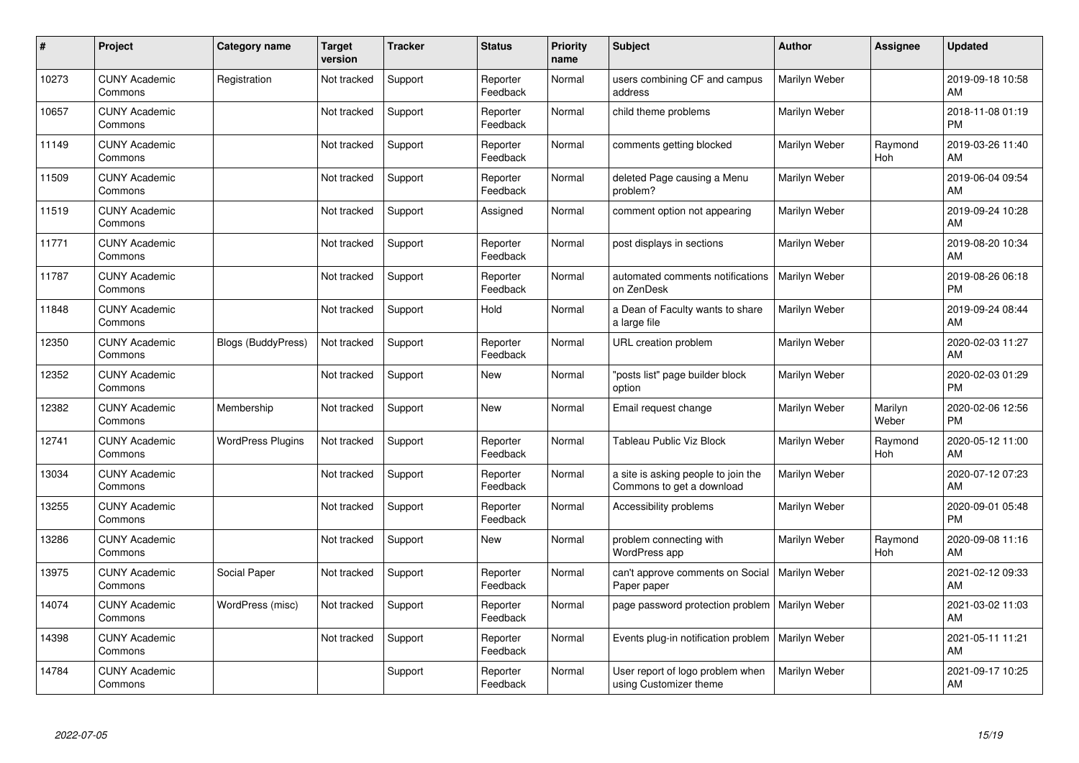| #     | Project                         | Category name             | Target<br>version | <b>Tracker</b> | <b>Status</b>        | <b>Priority</b><br>name | <b>Subject</b>                                                   | <b>Author</b> | <b>Assignee</b>  | <b>Updated</b>                |
|-------|---------------------------------|---------------------------|-------------------|----------------|----------------------|-------------------------|------------------------------------------------------------------|---------------|------------------|-------------------------------|
| 10273 | <b>CUNY Academic</b><br>Commons | Registration              | Not tracked       | Support        | Reporter<br>Feedback | Normal                  | users combining CF and campus<br>address                         | Marilyn Weber |                  | 2019-09-18 10:58<br>AM        |
| 10657 | <b>CUNY Academic</b><br>Commons |                           | Not tracked       | Support        | Reporter<br>Feedback | Normal                  | child theme problems                                             | Marilyn Weber |                  | 2018-11-08 01:19<br><b>PM</b> |
| 11149 | <b>CUNY Academic</b><br>Commons |                           | Not tracked       | Support        | Reporter<br>Feedback | Normal                  | comments getting blocked                                         | Marilyn Weber | Raymond<br>Hoh   | 2019-03-26 11:40<br>AM        |
| 11509 | <b>CUNY Academic</b><br>Commons |                           | Not tracked       | Support        | Reporter<br>Feedback | Normal                  | deleted Page causing a Menu<br>problem?                          | Marilyn Weber |                  | 2019-06-04 09:54<br>AM        |
| 11519 | <b>CUNY Academic</b><br>Commons |                           | Not tracked       | Support        | Assigned             | Normal                  | comment option not appearing                                     | Marilyn Weber |                  | 2019-09-24 10:28<br><b>AM</b> |
| 11771 | <b>CUNY Academic</b><br>Commons |                           | Not tracked       | Support        | Reporter<br>Feedback | Normal                  | post displays in sections                                        | Marilyn Weber |                  | 2019-08-20 10:34<br>AM        |
| 11787 | <b>CUNY Academic</b><br>Commons |                           | Not tracked       | Support        | Reporter<br>Feedback | Normal                  | automated comments notifications<br>on ZenDesk                   | Marilyn Weber |                  | 2019-08-26 06:18<br><b>PM</b> |
| 11848 | <b>CUNY Academic</b><br>Commons |                           | Not tracked       | Support        | Hold                 | Normal                  | a Dean of Faculty wants to share<br>a large file                 | Marilyn Weber |                  | 2019-09-24 08:44<br>AM        |
| 12350 | <b>CUNY Academic</b><br>Commons | <b>Blogs (BuddyPress)</b> | Not tracked       | Support        | Reporter<br>Feedback | Normal                  | URL creation problem                                             | Marilyn Weber |                  | 2020-02-03 11:27<br>AM        |
| 12352 | <b>CUNY Academic</b><br>Commons |                           | Not tracked       | Support        | <b>New</b>           | Normal                  | "posts list" page builder block<br>option                        | Marilyn Weber |                  | 2020-02-03 01:29<br>PM        |
| 12382 | <b>CUNY Academic</b><br>Commons | Membership                | Not tracked       | Support        | New                  | Normal                  | Email request change                                             | Marilyn Weber | Marilyn<br>Weber | 2020-02-06 12:56<br><b>PM</b> |
| 12741 | <b>CUNY Academic</b><br>Commons | <b>WordPress Plugins</b>  | Not tracked       | Support        | Reporter<br>Feedback | Normal                  | <b>Tableau Public Viz Block</b>                                  | Marilyn Weber | Raymond<br>Hoh   | 2020-05-12 11:00<br><b>AM</b> |
| 13034 | <b>CUNY Academic</b><br>Commons |                           | Not tracked       | Support        | Reporter<br>Feedback | Normal                  | a site is asking people to join the<br>Commons to get a download | Marilyn Weber |                  | 2020-07-12 07:23<br>AM        |
| 13255 | <b>CUNY Academic</b><br>Commons |                           | Not tracked       | Support        | Reporter<br>Feedback | Normal                  | Accessibility problems                                           | Marilyn Weber |                  | 2020-09-01 05:48<br><b>PM</b> |
| 13286 | <b>CUNY Academic</b><br>Commons |                           | Not tracked       | Support        | New                  | Normal                  | problem connecting with<br>WordPress app                         | Marilyn Weber | Raymond<br>Hoh   | 2020-09-08 11:16<br><b>AM</b> |
| 13975 | <b>CUNY Academic</b><br>Commons | Social Paper              | Not tracked       | Support        | Reporter<br>Feedback | Normal                  | can't approve comments on Social<br>Paper paper                  | Marilyn Weber |                  | 2021-02-12 09:33<br>AM        |
| 14074 | <b>CUNY Academic</b><br>Commons | WordPress (misc)          | Not tracked       | Support        | Reporter<br>Feedback | Normal                  | page password protection problem   Marilyn Weber                 |               |                  | 2021-03-02 11:03<br><b>AM</b> |
| 14398 | <b>CUNY Academic</b><br>Commons |                           | Not tracked       | Support        | Reporter<br>Feedback | Normal                  | Events plug-in notification problem                              | Marilyn Weber |                  | 2021-05-11 11:21<br>AM        |
| 14784 | <b>CUNY Academic</b><br>Commons |                           |                   | Support        | Reporter<br>Feedback | Normal                  | User report of logo problem when<br>using Customizer theme       | Marilyn Weber |                  | 2021-09-17 10:25<br>AM        |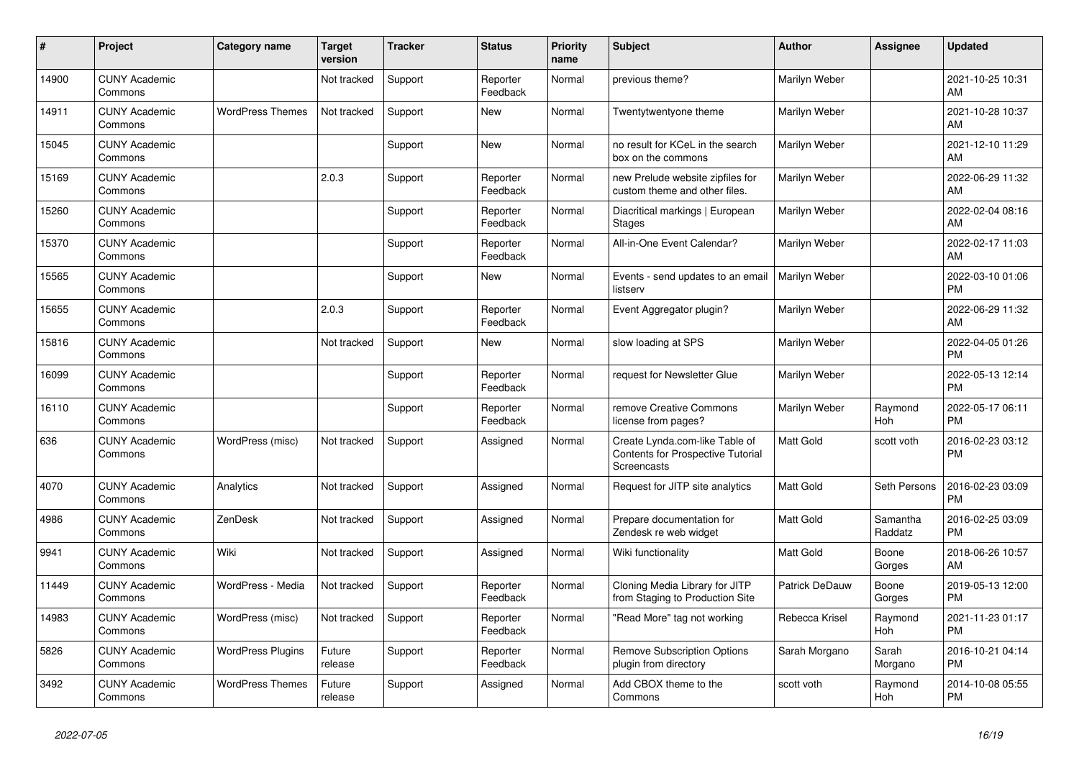| #     | Project                         | <b>Category name</b>     | <b>Target</b><br>version | <b>Tracker</b> | <b>Status</b>        | <b>Priority</b><br>name | <b>Subject</b>                                                                            | <b>Author</b>    | <b>Assignee</b>     | <b>Updated</b>                |
|-------|---------------------------------|--------------------------|--------------------------|----------------|----------------------|-------------------------|-------------------------------------------------------------------------------------------|------------------|---------------------|-------------------------------|
| 14900 | <b>CUNY Academic</b><br>Commons |                          | Not tracked              | Support        | Reporter<br>Feedback | Normal                  | previous theme?                                                                           | Marilyn Weber    |                     | 2021-10-25 10:31<br>AM        |
| 14911 | <b>CUNY Academic</b><br>Commons | <b>WordPress Themes</b>  | Not tracked              | Support        | <b>New</b>           | Normal                  | Twentytwentyone theme                                                                     | Marilyn Weber    |                     | 2021-10-28 10:37<br>AM        |
| 15045 | <b>CUNY Academic</b><br>Commons |                          |                          | Support        | <b>New</b>           | Normal                  | no result for KCeL in the search<br>box on the commons                                    | Marilyn Weber    |                     | 2021-12-10 11:29<br>AM        |
| 15169 | <b>CUNY Academic</b><br>Commons |                          | 2.0.3                    | Support        | Reporter<br>Feedback | Normal                  | new Prelude website zipfiles for<br>custom theme and other files.                         | Marilyn Weber    |                     | 2022-06-29 11:32<br>AM        |
| 15260 | <b>CUNY Academic</b><br>Commons |                          |                          | Support        | Reporter<br>Feedback | Normal                  | Diacritical markings   European<br><b>Stages</b>                                          | Marilyn Weber    |                     | 2022-02-04 08:16<br>AM        |
| 15370 | <b>CUNY Academic</b><br>Commons |                          |                          | Support        | Reporter<br>Feedback | Normal                  | All-in-One Event Calendar?                                                                | Marilyn Weber    |                     | 2022-02-17 11:03<br>AM        |
| 15565 | <b>CUNY Academic</b><br>Commons |                          |                          | Support        | <b>New</b>           | Normal                  | Events - send updates to an email<br>listserv                                             | Marilyn Weber    |                     | 2022-03-10 01:06<br><b>PM</b> |
| 15655 | <b>CUNY Academic</b><br>Commons |                          | 2.0.3                    | Support        | Reporter<br>Feedback | Normal                  | Event Aggregator plugin?                                                                  | Marilyn Weber    |                     | 2022-06-29 11:32<br>AM        |
| 15816 | <b>CUNY Academic</b><br>Commons |                          | Not tracked              | Support        | New                  | Normal                  | slow loading at SPS                                                                       | Marilyn Weber    |                     | 2022-04-05 01:26<br><b>PM</b> |
| 16099 | <b>CUNY Academic</b><br>Commons |                          |                          | Support        | Reporter<br>Feedback | Normal                  | request for Newsletter Glue                                                               | Marilyn Weber    |                     | 2022-05-13 12:14<br><b>PM</b> |
| 16110 | <b>CUNY Academic</b><br>Commons |                          |                          | Support        | Reporter<br>Feedback | Normal                  | remove Creative Commons<br>license from pages?                                            | Marilyn Weber    | Raymond<br>Hoh      | 2022-05-17 06:11<br><b>PM</b> |
| 636   | <b>CUNY Academic</b><br>Commons | WordPress (misc)         | Not tracked              | Support        | Assigned             | Normal                  | Create Lynda.com-like Table of<br><b>Contents for Prospective Tutorial</b><br>Screencasts | Matt Gold        | scott voth          | 2016-02-23 03:12<br><b>PM</b> |
| 4070  | <b>CUNY Academic</b><br>Commons | Analytics                | Not tracked              | Support        | Assigned             | Normal                  | Request for JITP site analytics                                                           | <b>Matt Gold</b> | Seth Persons        | 2016-02-23 03:09<br><b>PM</b> |
| 4986  | <b>CUNY Academic</b><br>Commons | <b>ZenDesk</b>           | Not tracked              | Support        | Assigned             | Normal                  | Prepare documentation for<br>Zendesk re web widget                                        | Matt Gold        | Samantha<br>Raddatz | 2016-02-25 03:09<br><b>PM</b> |
| 9941  | <b>CUNY Academic</b><br>Commons | Wiki                     | Not tracked              | Support        | Assigned             | Normal                  | Wiki functionality                                                                        | <b>Matt Gold</b> | Boone<br>Gorges     | 2018-06-26 10:57<br>AM        |
| 11449 | <b>CUNY Academic</b><br>Commons | WordPress - Media        | Not tracked              | Support        | Reporter<br>Feedback | Normal                  | Cloning Media Library for JITP<br>from Staging to Production Site                         | Patrick DeDauw   | Boone<br>Gorges     | 2019-05-13 12:00<br><b>PM</b> |
| 14983 | <b>CUNY Academic</b><br>Commons | WordPress (misc)         | Not tracked              | Support        | Reporter<br>Feedback | Normal                  | "Read More" tag not working                                                               | Rebecca Krisel   | Raymond<br>Hoh      | 2021-11-23 01:17<br><b>PM</b> |
| 5826  | <b>CUNY Academic</b><br>Commons | <b>WordPress Plugins</b> | Future<br>release        | Support        | Reporter<br>Feedback | Normal                  | <b>Remove Subscription Options</b><br>plugin from directory                               | Sarah Morgano    | Sarah<br>Morgano    | 2016-10-21 04:14<br><b>PM</b> |
| 3492  | <b>CUNY Academic</b><br>Commons | <b>WordPress Themes</b>  | Future<br>release        | Support        | Assigned             | Normal                  | Add CBOX theme to the<br>Commons                                                          | scott voth       | Raymond<br>Hoh      | 2014-10-08 05:55<br><b>PM</b> |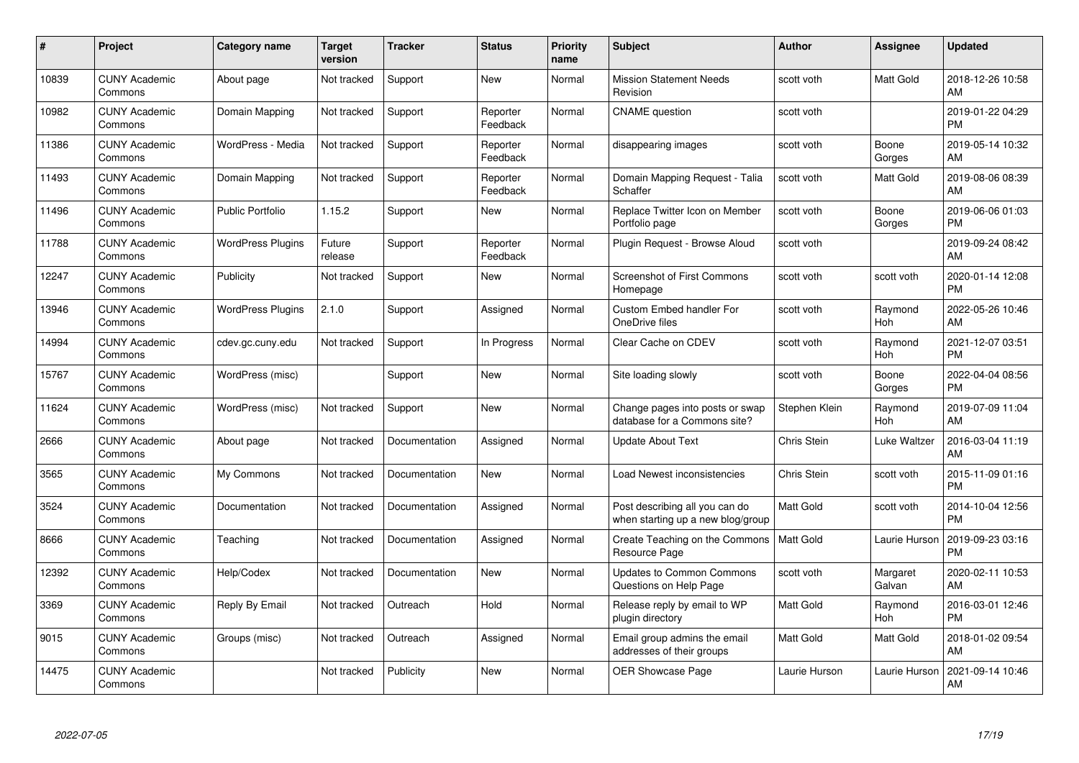| $\pmb{\#}$ | Project                         | <b>Category name</b>     | <b>Target</b><br>version | <b>Tracker</b> | <b>Status</b>        | <b>Priority</b><br>name | <b>Subject</b>                                                      | <b>Author</b>    | <b>Assignee</b>    | <b>Updated</b>                |
|------------|---------------------------------|--------------------------|--------------------------|----------------|----------------------|-------------------------|---------------------------------------------------------------------|------------------|--------------------|-------------------------------|
| 10839      | <b>CUNY Academic</b><br>Commons | About page               | Not tracked              | Support        | <b>New</b>           | Normal                  | <b>Mission Statement Needs</b><br>Revision                          | scott voth       | Matt Gold          | 2018-12-26 10:58<br>AM        |
| 10982      | <b>CUNY Academic</b><br>Commons | Domain Mapping           | Not tracked              | Support        | Reporter<br>Feedback | Normal                  | <b>CNAME</b> question                                               | scott voth       |                    | 2019-01-22 04:29<br><b>PM</b> |
| 11386      | <b>CUNY Academic</b><br>Commons | WordPress - Media        | Not tracked              | Support        | Reporter<br>Feedback | Normal                  | disappearing images                                                 | scott voth       | Boone<br>Gorges    | 2019-05-14 10:32<br>AM        |
| 11493      | <b>CUNY Academic</b><br>Commons | Domain Mapping           | Not tracked              | Support        | Reporter<br>Feedback | Normal                  | Domain Mapping Request - Talia<br>Schaffer                          | scott voth       | Matt Gold          | 2019-08-06 08:39<br>AM        |
| 11496      | <b>CUNY Academic</b><br>Commons | <b>Public Portfolio</b>  | 1.15.2                   | Support        | <b>New</b>           | Normal                  | Replace Twitter Icon on Member<br>Portfolio page                    | scott voth       | Boone<br>Gorges    | 2019-06-06 01:03<br><b>PM</b> |
| 11788      | <b>CUNY Academic</b><br>Commons | <b>WordPress Plugins</b> | Future<br>release        | Support        | Reporter<br>Feedback | Normal                  | Plugin Request - Browse Aloud                                       | scott voth       |                    | 2019-09-24 08:42<br>AM        |
| 12247      | <b>CUNY Academic</b><br>Commons | Publicity                | Not tracked              | Support        | <b>New</b>           | Normal                  | <b>Screenshot of First Commons</b><br>Homepage                      | scott voth       | scott voth         | 2020-01-14 12:08<br><b>PM</b> |
| 13946      | <b>CUNY Academic</b><br>Commons | <b>WordPress Plugins</b> | 2.1.0                    | Support        | Assigned             | Normal                  | <b>Custom Embed handler For</b><br>OneDrive files                   | scott voth       | Raymond<br>Hoh     | 2022-05-26 10:46<br>AM        |
| 14994      | <b>CUNY Academic</b><br>Commons | cdev.gc.cuny.edu         | Not tracked              | Support        | In Progress          | Normal                  | Clear Cache on CDEV                                                 | scott voth       | Raymond<br>Hoh     | 2021-12-07 03:51<br><b>PM</b> |
| 15767      | <b>CUNY Academic</b><br>Commons | WordPress (misc)         |                          | Support        | <b>New</b>           | Normal                  | Site loading slowly                                                 | scott voth       | Boone<br>Gorges    | 2022-04-04 08:56<br><b>PM</b> |
| 11624      | <b>CUNY Academic</b><br>Commons | WordPress (misc)         | Not tracked              | Support        | <b>New</b>           | Normal                  | Change pages into posts or swap<br>database for a Commons site?     | Stephen Klein    | Raymond<br>Hoh     | 2019-07-09 11:04<br>AM        |
| 2666       | <b>CUNY Academic</b><br>Commons | About page               | Not tracked              | Documentation  | Assigned             | Normal                  | <b>Update About Text</b>                                            | Chris Stein      | Luke Waltzer       | 2016-03-04 11:19<br>AM        |
| 3565       | <b>CUNY Academic</b><br>Commons | My Commons               | Not tracked              | Documentation  | <b>New</b>           | Normal                  | Load Newest inconsistencies                                         | Chris Stein      | scott voth         | 2015-11-09 01:16<br><b>PM</b> |
| 3524       | <b>CUNY Academic</b><br>Commons | Documentation            | Not tracked              | Documentation  | Assigned             | Normal                  | Post describing all you can do<br>when starting up a new blog/group | <b>Matt Gold</b> | scott voth         | 2014-10-04 12:56<br><b>PM</b> |
| 8666       | <b>CUNY Academic</b><br>Commons | Teaching                 | Not tracked              | Documentation  | Assigned             | Normal                  | Create Teaching on the Commons<br>Resource Page                     | Matt Gold        | Laurie Hurson      | 2019-09-23 03:16<br><b>PM</b> |
| 12392      | <b>CUNY Academic</b><br>Commons | Help/Codex               | Not tracked              | Documentation  | New                  | Normal                  | <b>Updates to Common Commons</b><br>Questions on Help Page          | scott voth       | Margaret<br>Galvan | 2020-02-11 10:53<br>AM        |
| 3369       | <b>CUNY Academic</b><br>Commons | Reply By Email           | Not tracked              | Outreach       | Hold                 | Normal                  | Release reply by email to WP<br>plugin directory                    | <b>Matt Gold</b> | Raymond<br>Hoh     | 2016-03-01 12:46<br><b>PM</b> |
| 9015       | <b>CUNY Academic</b><br>Commons | Groups (misc)            | Not tracked              | Outreach       | Assigned             | Normal                  | Email group admins the email<br>addresses of their groups           | Matt Gold        | Matt Gold          | 2018-01-02 09:54<br>AM        |
| 14475      | <b>CUNY Academic</b><br>Commons |                          | Not tracked              | Publicity      | <b>New</b>           | Normal                  | <b>OER Showcase Page</b>                                            | Laurie Hurson    | Laurie Hurson      | 2021-09-14 10:46<br>AM        |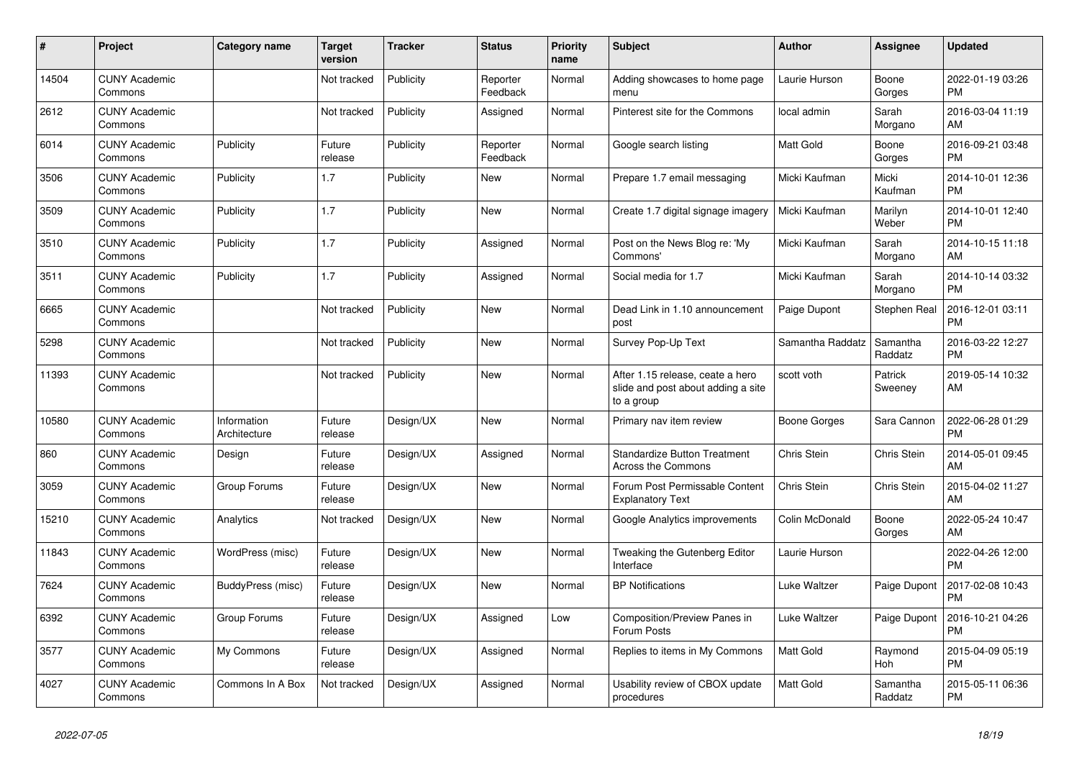| #     | Project                         | <b>Category name</b>        | <b>Target</b><br>version | <b>Tracker</b> | <b>Status</b>        | Priority<br>name | <b>Subject</b>                                                                       | <b>Author</b>    | Assignee            | <b>Updated</b>                |
|-------|---------------------------------|-----------------------------|--------------------------|----------------|----------------------|------------------|--------------------------------------------------------------------------------------|------------------|---------------------|-------------------------------|
| 14504 | <b>CUNY Academic</b><br>Commons |                             | Not tracked              | Publicity      | Reporter<br>Feedback | Normal           | Adding showcases to home page<br>menu                                                | Laurie Hurson    | Boone<br>Gorges     | 2022-01-19 03:26<br>PM.       |
| 2612  | <b>CUNY Academic</b><br>Commons |                             | Not tracked              | Publicity      | Assigned             | Normal           | Pinterest site for the Commons                                                       | local admin      | Sarah<br>Morgano    | 2016-03-04 11:19<br>AM        |
| 6014  | <b>CUNY Academic</b><br>Commons | Publicity                   | Future<br>release        | Publicity      | Reporter<br>Feedback | Normal           | Google search listing                                                                | Matt Gold        | Boone<br>Gorges     | 2016-09-21 03:48<br><b>PM</b> |
| 3506  | <b>CUNY Academic</b><br>Commons | Publicity                   | 1.7                      | Publicity      | <b>New</b>           | Normal           | Prepare 1.7 email messaging                                                          | Micki Kaufman    | Micki<br>Kaufman    | 2014-10-01 12:36<br><b>PM</b> |
| 3509  | <b>CUNY Academic</b><br>Commons | Publicity                   | 1.7                      | Publicity      | New                  | Normal           | Create 1.7 digital signage imagery                                                   | Micki Kaufman    | Marilyn<br>Weber    | 2014-10-01 12:40<br><b>PM</b> |
| 3510  | <b>CUNY Academic</b><br>Commons | Publicity                   | 1.7                      | Publicity      | Assigned             | Normal           | Post on the News Blog re: 'My<br>Commons'                                            | Micki Kaufman    | Sarah<br>Morgano    | 2014-10-15 11:18<br><b>AM</b> |
| 3511  | <b>CUNY Academic</b><br>Commons | Publicity                   | 1.7                      | Publicity      | Assigned             | Normal           | Social media for 1.7                                                                 | Micki Kaufman    | Sarah<br>Morgano    | 2014-10-14 03:32<br><b>PM</b> |
| 6665  | <b>CUNY Academic</b><br>Commons |                             | Not tracked              | Publicity      | New                  | Normal           | Dead Link in 1.10 announcement<br>post                                               | Paige Dupont     | Stephen Real        | 2016-12-01 03:11<br><b>PM</b> |
| 5298  | <b>CUNY Academic</b><br>Commons |                             | Not tracked              | Publicity      | <b>New</b>           | Normal           | Survey Pop-Up Text                                                                   | Samantha Raddatz | Samantha<br>Raddatz | 2016-03-22 12:27<br><b>PM</b> |
| 11393 | <b>CUNY Academic</b><br>Commons |                             | Not tracked              | Publicity      | <b>New</b>           | Normal           | After 1.15 release, ceate a hero<br>slide and post about adding a site<br>to a group | scott voth       | Patrick<br>Sweeney  | 2019-05-14 10:32<br>AM        |
| 10580 | <b>CUNY Academic</b><br>Commons | Information<br>Architecture | Future<br>release        | Design/UX      | <b>New</b>           | Normal           | Primary nav item review                                                              | Boone Gorges     | Sara Cannon         | 2022-06-28 01:29<br><b>PM</b> |
| 860   | <b>CUNY Academic</b><br>Commons | Design                      | Future<br>release        | Design/UX      | Assigned             | Normal           | <b>Standardize Button Treatment</b><br><b>Across the Commons</b>                     | Chris Stein      | Chris Stein         | 2014-05-01 09:45<br>AM        |
| 3059  | <b>CUNY Academic</b><br>Commons | Group Forums                | Future<br>release        | Design/UX      | New                  | Normal           | Forum Post Permissable Content<br><b>Explanatory Text</b>                            | Chris Stein      | Chris Stein         | 2015-04-02 11:27<br>AM        |
| 15210 | <b>CUNY Academic</b><br>Commons | Analytics                   | Not tracked              | Design/UX      | New                  | Normal           | Google Analytics improvements                                                        | Colin McDonald   | Boone<br>Gorges     | 2022-05-24 10:47<br>AM.       |
| 11843 | <b>CUNY Academic</b><br>Commons | WordPress (misc)            | Future<br>release        | Design/UX      | New                  | Normal           | Tweaking the Gutenberg Editor<br>Interface                                           | Laurie Hurson    |                     | 2022-04-26 12:00<br><b>PM</b> |
| 7624  | <b>CUNY Academic</b><br>Commons | BuddyPress (misc)           | Future<br>release        | Design/UX      | <b>New</b>           | Normal           | <b>BP Notifications</b>                                                              | Luke Waltzer     | Paige Dupont        | 2017-02-08 10:43<br><b>PM</b> |
| 6392  | <b>CUNY Academic</b><br>Commons | Group Forums                | Future<br>release        | Design/UX      | Assigned             | Low              | Composition/Preview Panes in<br>Forum Posts                                          | Luke Waltzer     | Paige Dupont        | 2016-10-21 04:26<br><b>PM</b> |
| 3577  | <b>CUNY Academic</b><br>Commons | My Commons                  | Future<br>release        | Design/UX      | Assigned             | Normal           | Replies to items in My Commons                                                       | <b>Matt Gold</b> | Raymond<br>Hoh      | 2015-04-09 05:19<br><b>PM</b> |
| 4027  | <b>CUNY Academic</b><br>Commons | Commons In A Box            | Not tracked              | Design/UX      | Assigned             | Normal           | Usability review of CBOX update<br>procedures                                        | <b>Matt Gold</b> | Samantha<br>Raddatz | 2015-05-11 06:36<br><b>PM</b> |